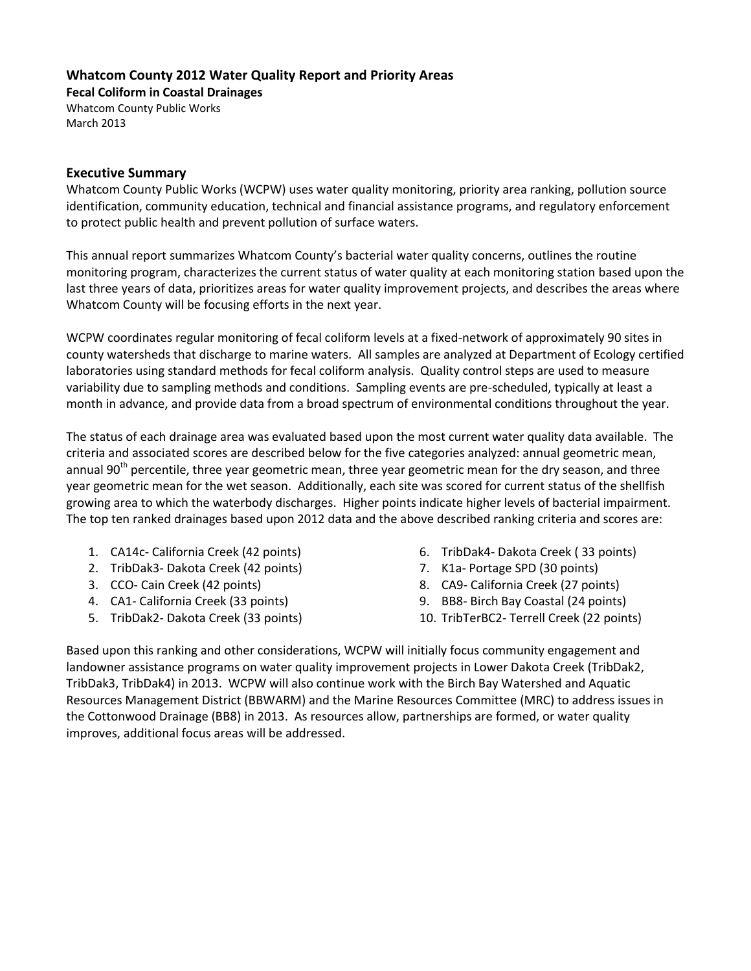### **Whatcom County 2012 Water Quality Report and Priority Areas**

**Fecal Coliform in Coastal Drainages**

Whatcom County Public Works March 2013

#### **Executive Summary**

Whatcom County Public Works (WCPW) uses water quality monitoring, priority area ranking, pollution source identification, community education, technical and financial assistance programs, and regulatory enforcement to protect public health and prevent pollution of surface waters.

This annual report summarizes Whatcom County's bacterial water quality concerns, outlines the routine monitoring program, characterizes the current status of water quality at each monitoring station based upon the last three years of data, prioritizes areas for water quality improvement projects, and describes the areas where Whatcom County will be focusing efforts in the next year.

WCPW coordinates regular monitoring of fecal coliform levels at a fixed-network of approximately 90 sites in county watersheds that discharge to marine waters. All samples are analyzed at Department of Ecology certified laboratories using standard methods for fecal coliform analysis. Quality control steps are used to measure variability due to sampling methods and conditions. Sampling events are pre-scheduled, typically at least a month in advance, and provide data from a broad spectrum of environmental conditions throughout the year.

The status of each drainage area was evaluated based upon the most current water quality data available. The criteria and associated scores are described below for the five categories analyzed: annual geometric mean, annual 90<sup>th</sup> percentile, three year geometric mean, three year geometric mean for the dry season, and three year geometric mean for the wet season. Additionally, each site was scored for current status of the shellfish growing area to which the waterbody discharges. Higher points indicate higher levels of bacterial impairment. The top ten ranked drainages based upon 2012 data and the above described ranking criteria and scores are:

- 1. CA14c- California Creek (42 points)
- 2. TribDak3- Dakota Creek (42 points)
- 3. CCO- Cain Creek (42 points)
- 4. CA1- California Creek (33 points)
- 5. TribDak2- Dakota Creek (33 points)
- 6. TribDak4- Dakota Creek ( 33 points)
- 7. K1a- Portage SPD (30 points)
- 8. CA9- California Creek (27 points)
- 9. BB8- Birch Bay Coastal (24 points)
- 10. TribTerBC2- Terrell Creek (22 points)

Based upon this ranking and other considerations, WCPW will initially focus community engagement and landowner assistance programs on water quality improvement projects in Lower Dakota Creek (TribDak2, TribDak3, TribDak4) in 2013. WCPW will also continue work with the Birch Bay Watershed and Aquatic Resources Management District (BBWARM) and the Marine Resources Committee (MRC) to address issues in the Cottonwood Drainage (BB8) in 2013. As resources allow, partnerships are formed, or water quality improves, additional focus areas will be addressed.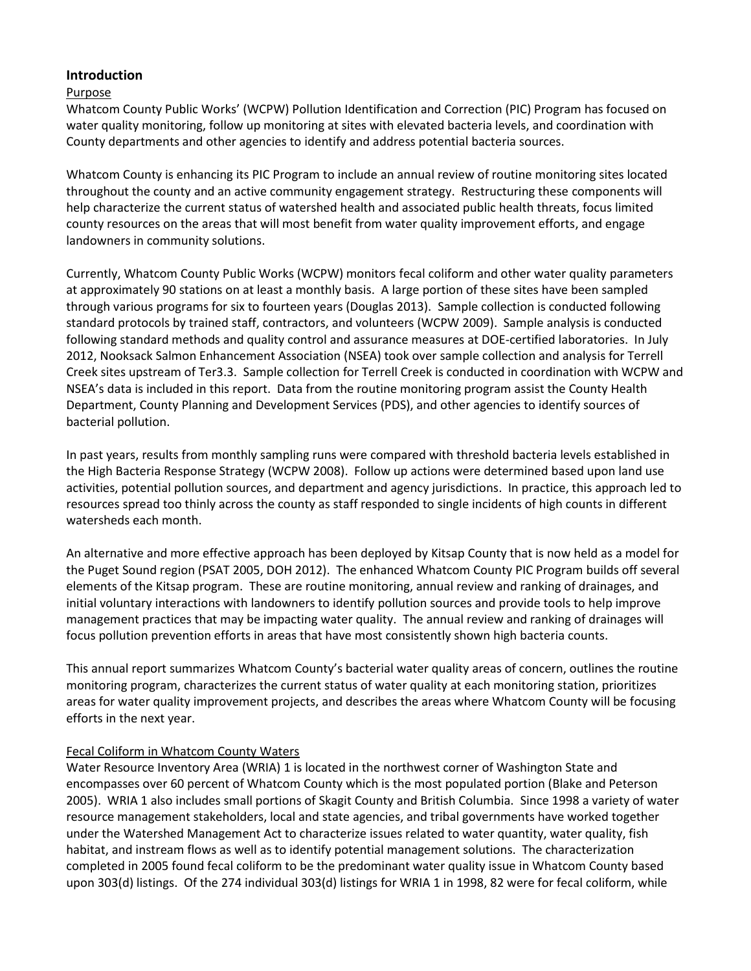## **Introduction**

### Purpose

Whatcom County Public Works' (WCPW) Pollution Identification and Correction (PIC) Program has focused on water quality monitoring, follow up monitoring at sites with elevated bacteria levels, and coordination with County departments and other agencies to identify and address potential bacteria sources.

Whatcom County is enhancing its PIC Program to include an annual review of routine monitoring sites located throughout the county and an active community engagement strategy. Restructuring these components will help characterize the current status of watershed health and associated public health threats, focus limited county resources on the areas that will most benefit from water quality improvement efforts, and engage landowners in community solutions.

Currently, Whatcom County Public Works (WCPW) monitors fecal coliform and other water quality parameters at approximately 90 stations on at least a monthly basis. A large portion of these sites have been sampled through various programs for six to fourteen years (Douglas 2013). Sample collection is conducted following standard protocols by trained staff, contractors, and volunteers (WCPW 2009). Sample analysis is conducted following standard methods and quality control and assurance measures at DOE-certified laboratories. In July 2012, Nooksack Salmon Enhancement Association (NSEA) took over sample collection and analysis for Terrell Creek sites upstream of Ter3.3. Sample collection for Terrell Creek is conducted in coordination with WCPW and NSEA's data is included in this report. Data from the routine monitoring program assist the County Health Department, County Planning and Development Services (PDS), and other agencies to identify sources of bacterial pollution.

In past years, results from monthly sampling runs were compared with threshold bacteria levels established in the High Bacteria Response Strategy (WCPW 2008). Follow up actions were determined based upon land use activities, potential pollution sources, and department and agency jurisdictions. In practice, this approach led to resources spread too thinly across the county as staff responded to single incidents of high counts in different watersheds each month.

An alternative and more effective approach has been deployed by Kitsap County that is now held as a model for the Puget Sound region (PSAT 2005, DOH 2012). The enhanced Whatcom County PIC Program builds off several elements of the Kitsap program. These are routine monitoring, annual review and ranking of drainages, and initial voluntary interactions with landowners to identify pollution sources and provide tools to help improve management practices that may be impacting water quality. The annual review and ranking of drainages will focus pollution prevention efforts in areas that have most consistently shown high bacteria counts.

This annual report summarizes Whatcom County's bacterial water quality areas of concern, outlines the routine monitoring program, characterizes the current status of water quality at each monitoring station, prioritizes areas for water quality improvement projects, and describes the areas where Whatcom County will be focusing efforts in the next year.

## Fecal Coliform in Whatcom County Waters

Water Resource Inventory Area (WRIA) 1 is located in the northwest corner of Washington State and encompasses over 60 percent of Whatcom County which is the most populated portion (Blake and Peterson 2005). WRIA 1 also includes small portions of Skagit County and British Columbia. Since 1998 a variety of water resource management stakeholders, local and state agencies, and tribal governments have worked together under the Watershed Management Act to characterize issues related to water quantity, water quality, fish habitat, and instream flows as well as to identify potential management solutions. The characterization completed in 2005 found fecal coliform to be the predominant water quality issue in Whatcom County based upon 303(d) listings. Of the 274 individual 303(d) listings for WRIA 1 in 1998, 82 were for fecal coliform, while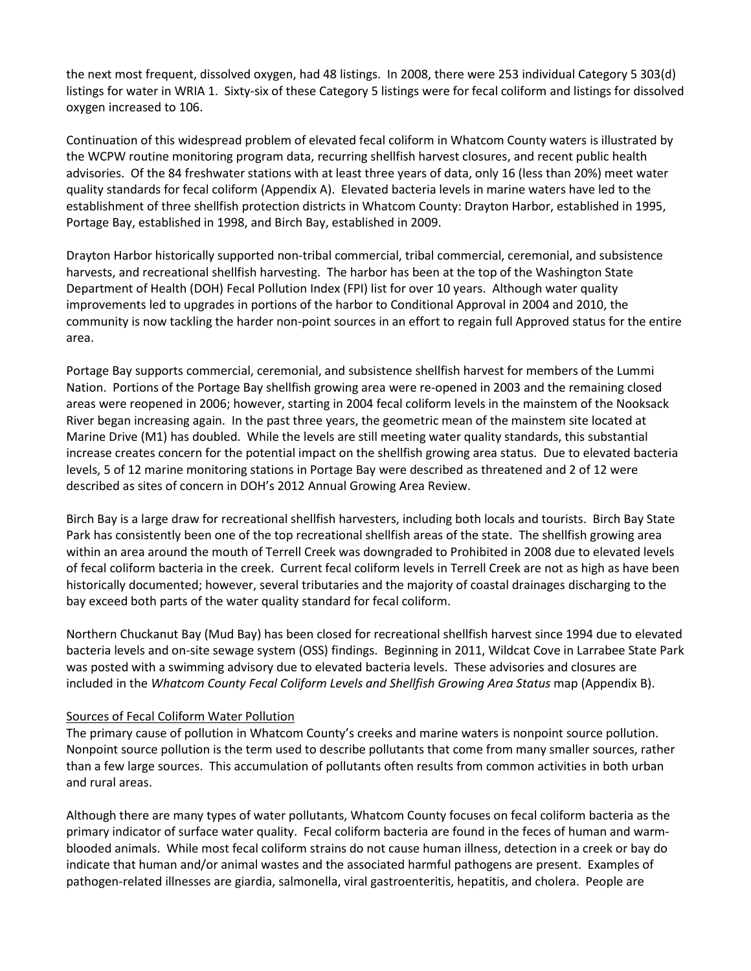the next most frequent, dissolved oxygen, had 48 listings. In 2008, there were 253 individual Category 5 303(d) listings for water in WRIA 1. Sixty-six of these Category 5 listings were for fecal coliform and listings for dissolved oxygen increased to 106.

Continuation of this widespread problem of elevated fecal coliform in Whatcom County waters is illustrated by the WCPW routine monitoring program data, recurring shellfish harvest closures, and recent public health advisories. Of the 84 freshwater stations with at least three years of data, only 16 (less than 20%) meet water quality standards for fecal coliform (Appendix A). Elevated bacteria levels in marine waters have led to the establishment of three shellfish protection districts in Whatcom County: Drayton Harbor, established in 1995, Portage Bay, established in 1998, and Birch Bay, established in 2009.

Drayton Harbor historically supported non-tribal commercial, tribal commercial, ceremonial, and subsistence harvests, and recreational shellfish harvesting. The harbor has been at the top of the Washington State Department of Health (DOH) Fecal Pollution Index (FPI) list for over 10 years. Although water quality improvements led to upgrades in portions of the harbor to Conditional Approval in 2004 and 2010, the community is now tackling the harder non-point sources in an effort to regain full Approved status for the entire area.

Portage Bay supports commercial, ceremonial, and subsistence shellfish harvest for members of the Lummi Nation. Portions of the Portage Bay shellfish growing area were re-opened in 2003 and the remaining closed areas were reopened in 2006; however, starting in 2004 fecal coliform levels in the mainstem of the Nooksack River began increasing again. In the past three years, the geometric mean of the mainstem site located at Marine Drive (M1) has doubled. While the levels are still meeting water quality standards, this substantial increase creates concern for the potential impact on the shellfish growing area status. Due to elevated bacteria levels, 5 of 12 marine monitoring stations in Portage Bay were described as threatened and 2 of 12 were described as sites of concern in DOH's 2012 Annual Growing Area Review.

Birch Bay is a large draw for recreational shellfish harvesters, including both locals and tourists. Birch Bay State Park has consistently been one of the top recreational shellfish areas of the state. The shellfish growing area within an area around the mouth of Terrell Creek was downgraded to Prohibited in 2008 due to elevated levels of fecal coliform bacteria in the creek. Current fecal coliform levels in Terrell Creek are not as high as have been historically documented; however, several tributaries and the majority of coastal drainages discharging to the bay exceed both parts of the water quality standard for fecal coliform.

Northern Chuckanut Bay (Mud Bay) has been closed for recreational shellfish harvest since 1994 due to elevated bacteria levels and on-site sewage system (OSS) findings. Beginning in 2011, Wildcat Cove in Larrabee State Park was posted with a swimming advisory due to elevated bacteria levels. These advisories and closures are included in the *Whatcom County Fecal Coliform Levels and Shellfish Growing Area Status* map (Appendix B).

#### Sources of Fecal Coliform Water Pollution

The primary cause of pollution in Whatcom County's creeks and marine waters is nonpoint source pollution. Nonpoint source pollution is the term used to describe pollutants that come from many smaller sources, rather than a few large sources. This accumulation of pollutants often results from common activities in both urban and rural areas.

Although there are many types of water pollutants, Whatcom County focuses on fecal coliform bacteria as the primary indicator of surface water quality. Fecal coliform bacteria are found in the feces of human and warmblooded animals. While most fecal coliform strains do not cause human illness, detection in a creek or bay do indicate that human and/or animal wastes and the associated harmful pathogens are present. Examples of pathogen-related illnesses are giardia, salmonella, viral gastroenteritis, hepatitis, and cholera. People are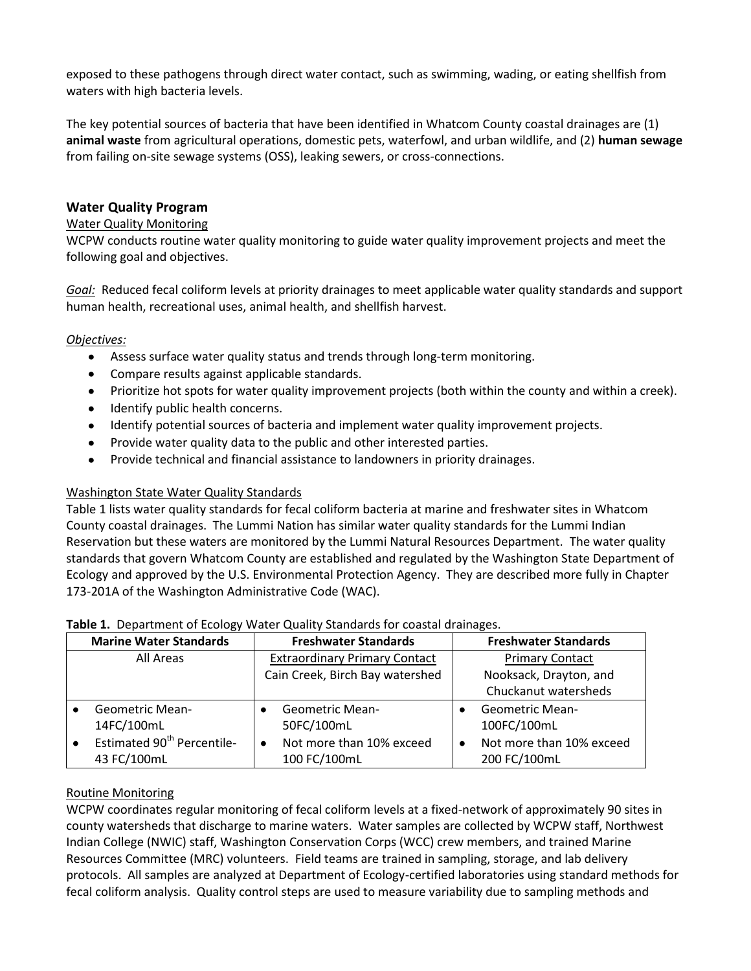exposed to these pathogens through direct water contact, such as swimming, wading, or eating shellfish from waters with high bacteria levels.

The key potential sources of bacteria that have been identified in Whatcom County coastal drainages are (1) **animal waste** from agricultural operations, domestic pets, waterfowl, and urban wildlife, and (2) **human sewage** from failing on-site sewage systems (OSS), leaking sewers, or cross-connections.

## **Water Quality Program**

#### Water Quality Monitoring

WCPW conducts routine water quality monitoring to guide water quality improvement projects and meet the following goal and objectives.

*Goal:* Reduced fecal coliform levels at priority drainages to meet applicable water quality standards and support human health, recreational uses, animal health, and shellfish harvest.

### *Objectives:*

- Assess surface water quality status and trends through long-term monitoring.
- Compare results against applicable standards.
- Prioritize hot spots for water quality improvement projects (both within the county and within a creek).
- Identify public health concerns.
- Identify potential sources of bacteria and implement water quality improvement projects.
- $\bullet$ Provide water quality data to the public and other interested parties.
- $\bullet$ Provide technical and financial assistance to landowners in priority drainages.

#### Washington State Water Quality Standards

Table 1 lists water quality standards for fecal coliform bacteria at marine and freshwater sites in Whatcom County coastal drainages. The Lummi Nation has similar water quality standards for the Lummi Indian Reservation but these waters are monitored by the Lummi Natural Resources Department. The water quality standards that govern Whatcom County are established and regulated by the Washington State Department of Ecology and approved by the U.S. Environmental Protection Agency. They are described more fully in Chapter 173-201A of the Washington Administrative Code (WAC).

| <b>Marine Water Standards</b>                       | <b>Freshwater Standards</b>           | <b>Freshwater Standards</b>           |
|-----------------------------------------------------|---------------------------------------|---------------------------------------|
| All Areas                                           | <b>Extraordinary Primary Contact</b>  | <b>Primary Contact</b>                |
|                                                     | Cain Creek, Birch Bay watershed       | Nooksack, Drayton, and                |
|                                                     |                                       | Chuckanut watersheds                  |
| <b>Geometric Mean-</b>                              | <b>Geometric Mean-</b>                | <b>Geometric Mean-</b>                |
| 14FC/100mL                                          | 50FC/100mL                            | 100FC/100mL                           |
| Estimated 90 <sup>th</sup> Percentile-<br>$\bullet$ | Not more than 10% exceed<br>$\bullet$ | Not more than 10% exceed<br>$\bullet$ |
| 43 FC/100mL                                         | 100 FC/100mL                          | 200 FC/100mL                          |

#### **Table 1.** Department of Ecology Water Quality Standards for coastal drainages.

#### Routine Monitoring

WCPW coordinates regular monitoring of fecal coliform levels at a fixed-network of approximately 90 sites in county watersheds that discharge to marine waters. Water samples are collected by WCPW staff, Northwest Indian College (NWIC) staff, Washington Conservation Corps (WCC) crew members, and trained Marine Resources Committee (MRC) volunteers. Field teams are trained in sampling, storage, and lab delivery protocols. All samples are analyzed at Department of Ecology-certified laboratories using standard methods for fecal coliform analysis. Quality control steps are used to measure variability due to sampling methods and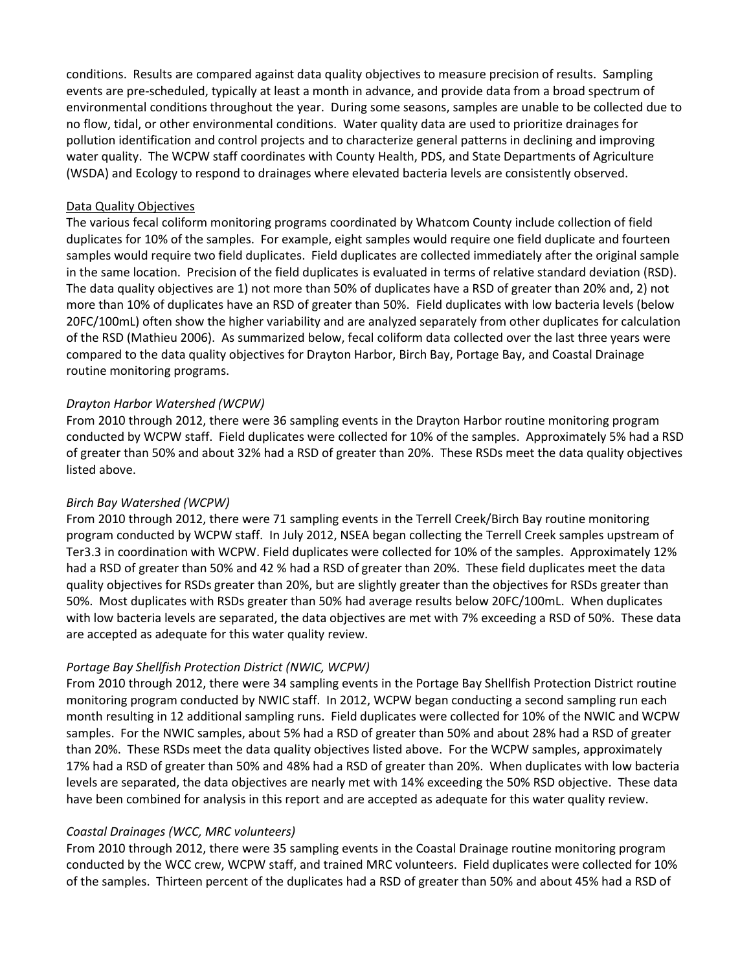conditions. Results are compared against data quality objectives to measure precision of results. Sampling events are pre-scheduled, typically at least a month in advance, and provide data from a broad spectrum of environmental conditions throughout the year. During some seasons, samples are unable to be collected due to no flow, tidal, or other environmental conditions. Water quality data are used to prioritize drainages for pollution identification and control projects and to characterize general patterns in declining and improving water quality. The WCPW staff coordinates with County Health, PDS, and State Departments of Agriculture (WSDA) and Ecology to respond to drainages where elevated bacteria levels are consistently observed.

#### Data Quality Objectives

The various fecal coliform monitoring programs coordinated by Whatcom County include collection of field duplicates for 10% of the samples. For example, eight samples would require one field duplicate and fourteen samples would require two field duplicates. Field duplicates are collected immediately after the original sample in the same location. Precision of the field duplicates is evaluated in terms of relative standard deviation (RSD). The data quality objectives are 1) not more than 50% of duplicates have a RSD of greater than 20% and, 2) not more than 10% of duplicates have an RSD of greater than 50%. Field duplicates with low bacteria levels (below 20FC/100mL) often show the higher variability and are analyzed separately from other duplicates for calculation of the RSD (Mathieu 2006). As summarized below, fecal coliform data collected over the last three years were compared to the data quality objectives for Drayton Harbor, Birch Bay, Portage Bay, and Coastal Drainage routine monitoring programs.

### *Drayton Harbor Watershed (WCPW)*

From 2010 through 2012, there were 36 sampling events in the Drayton Harbor routine monitoring program conducted by WCPW staff. Field duplicates were collected for 10% of the samples. Approximately 5% had a RSD of greater than 50% and about 32% had a RSD of greater than 20%. These RSDs meet the data quality objectives listed above.

## *Birch Bay Watershed (WCPW)*

From 2010 through 2012, there were 71 sampling events in the Terrell Creek/Birch Bay routine monitoring program conducted by WCPW staff. In July 2012, NSEA began collecting the Terrell Creek samples upstream of Ter3.3 in coordination with WCPW. Field duplicates were collected for 10% of the samples. Approximately 12% had a RSD of greater than 50% and 42 % had a RSD of greater than 20%. These field duplicates meet the data quality objectives for RSDs greater than 20%, but are slightly greater than the objectives for RSDs greater than 50%. Most duplicates with RSDs greater than 50% had average results below 20FC/100mL. When duplicates with low bacteria levels are separated, the data objectives are met with 7% exceeding a RSD of 50%. These data are accepted as adequate for this water quality review.

## *Portage Bay Shellfish Protection District (NWIC, WCPW)*

From 2010 through 2012, there were 34 sampling events in the Portage Bay Shellfish Protection District routine monitoring program conducted by NWIC staff. In 2012, WCPW began conducting a second sampling run each month resulting in 12 additional sampling runs. Field duplicates were collected for 10% of the NWIC and WCPW samples. For the NWIC samples, about 5% had a RSD of greater than 50% and about 28% had a RSD of greater than 20%. These RSDs meet the data quality objectives listed above. For the WCPW samples, approximately 17% had a RSD of greater than 50% and 48% had a RSD of greater than 20%. When duplicates with low bacteria levels are separated, the data objectives are nearly met with 14% exceeding the 50% RSD objective. These data have been combined for analysis in this report and are accepted as adequate for this water quality review.

#### *Coastal Drainages (WCC, MRC volunteers)*

From 2010 through 2012, there were 35 sampling events in the Coastal Drainage routine monitoring program conducted by the WCC crew, WCPW staff, and trained MRC volunteers. Field duplicates were collected for 10% of the samples. Thirteen percent of the duplicates had a RSD of greater than 50% and about 45% had a RSD of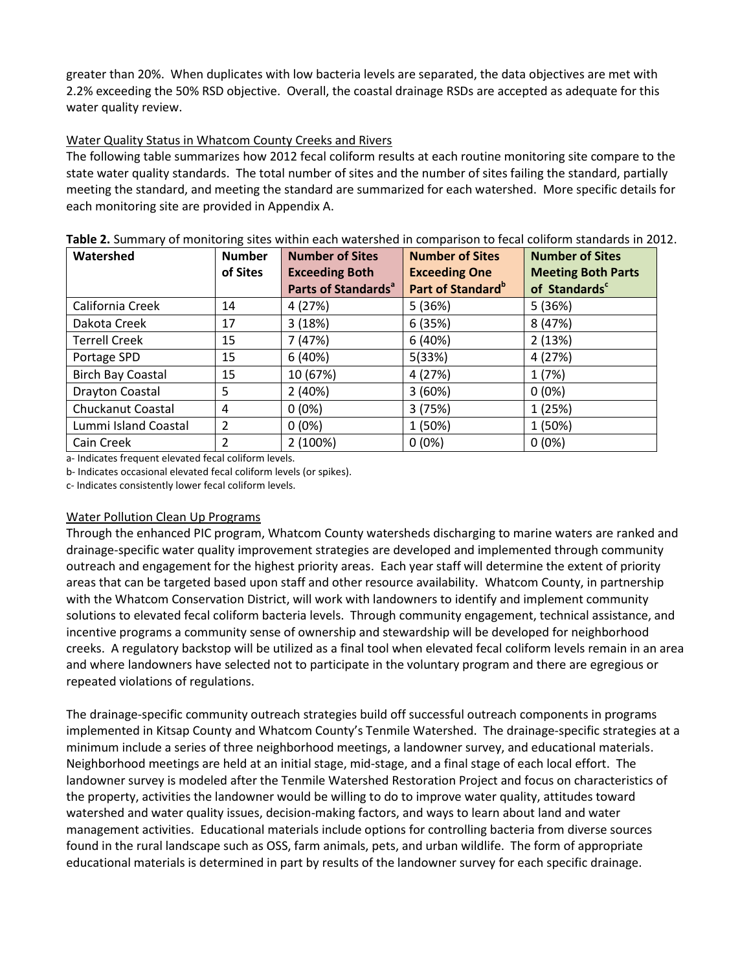greater than 20%. When duplicates with low bacteria levels are separated, the data objectives are met with 2.2% exceeding the 50% RSD objective. Overall, the coastal drainage RSDs are accepted as adequate for this water quality review.

## Water Quality Status in Whatcom County Creeks and Rivers

The following table summarizes how 2012 fecal coliform results at each routine monitoring site compare to the state water quality standards. The total number of sites and the number of sites failing the standard, partially meeting the standard, and meeting the standard are summarized for each watershed. More specific details for each monitoring site are provided in Appendix A.

| Watershed                | <b>Number</b> | <b>Number of Sites</b>          | <b>Number of Sites</b>        | <b>Number of Sites</b>    |  |
|--------------------------|---------------|---------------------------------|-------------------------------|---------------------------|--|
|                          | of Sites      | <b>Exceeding Both</b>           | <b>Exceeding One</b>          | <b>Meeting Both Parts</b> |  |
|                          |               | Parts of Standards <sup>a</sup> | Part of Standard <sup>b</sup> | of Standards <sup>c</sup> |  |
| California Creek         | 14            | 4 (27%)                         | 5(36%)                        | 5 (36%)                   |  |
| Dakota Creek             | 17            | 3(18%)                          | 6(35%)                        | 8 (47%)                   |  |
| <b>Terrell Creek</b>     | 15            | 7 (47%)                         | 6(40%)                        | 2(13%)                    |  |
| Portage SPD              | 15            | 6(40%)                          | 5(33%)                        | 4 (27%)                   |  |
| <b>Birch Bay Coastal</b> | 15            | 10 (67%)                        | 4 (27%)                       | 1(7%)                     |  |
| Drayton Coastal          | 5.            | 2(40%)                          | 3(60%)                        | $0(0\%)$                  |  |
| Chuckanut Coastal        | 4             | $0(0\%)$                        | 3(75%)                        | 1 (25%)                   |  |
| Lummi Island Coastal     | 2             | $0(0\%)$                        | 1 (50%)                       | 1 (50%)                   |  |
| Cain Creek               | 2             | 2 (100%)                        | $0(0\%)$                      | $0(0\%)$                  |  |

**Table 2.** Summary of monitoring sites within each watershed in comparison to fecal coliform standards in 2012.

a- Indicates frequent elevated fecal coliform levels.

b- Indicates occasional elevated fecal coliform levels (or spikes).

c- Indicates consistently lower fecal coliform levels.

#### Water Pollution Clean Up Programs

Through the enhanced PIC program, Whatcom County watersheds discharging to marine waters are ranked and drainage-specific water quality improvement strategies are developed and implemented through community outreach and engagement for the highest priority areas. Each year staff will determine the extent of priority areas that can be targeted based upon staff and other resource availability. Whatcom County, in partnership with the Whatcom Conservation District, will work with landowners to identify and implement community solutions to elevated fecal coliform bacteria levels. Through community engagement, technical assistance, and incentive programs a community sense of ownership and stewardship will be developed for neighborhood creeks. A regulatory backstop will be utilized as a final tool when elevated fecal coliform levels remain in an area and where landowners have selected not to participate in the voluntary program and there are egregious or repeated violations of regulations.

The drainage-specific community outreach strategies build off successful outreach components in programs implemented in Kitsap County and Whatcom County's Tenmile Watershed. The drainage-specific strategies at a minimum include a series of three neighborhood meetings, a landowner survey, and educational materials. Neighborhood meetings are held at an initial stage, mid-stage, and a final stage of each local effort. The landowner survey is modeled after the Tenmile Watershed Restoration Project and focus on characteristics of the property, activities the landowner would be willing to do to improve water quality, attitudes toward watershed and water quality issues, decision-making factors, and ways to learn about land and water management activities. Educational materials include options for controlling bacteria from diverse sources found in the rural landscape such as OSS, farm animals, pets, and urban wildlife. The form of appropriate educational materials is determined in part by results of the landowner survey for each specific drainage.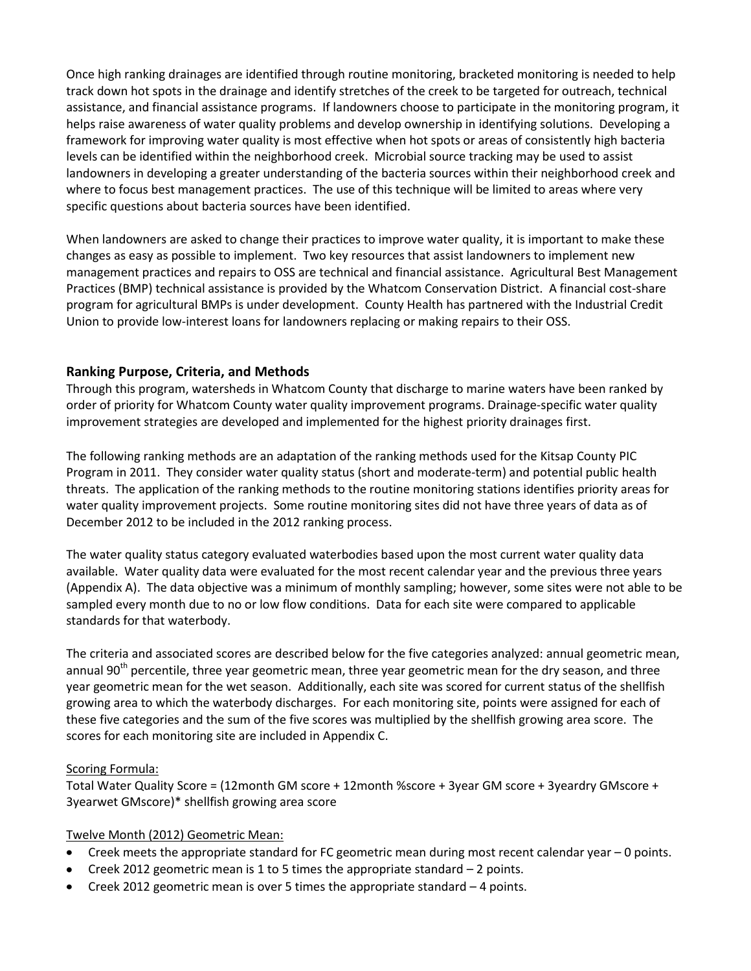Once high ranking drainages are identified through routine monitoring, bracketed monitoring is needed to help track down hot spots in the drainage and identify stretches of the creek to be targeted for outreach, technical assistance, and financial assistance programs. If landowners choose to participate in the monitoring program, it helps raise awareness of water quality problems and develop ownership in identifying solutions. Developing a framework for improving water quality is most effective when hot spots or areas of consistently high bacteria levels can be identified within the neighborhood creek. Microbial source tracking may be used to assist landowners in developing a greater understanding of the bacteria sources within their neighborhood creek and where to focus best management practices. The use of this technique will be limited to areas where very specific questions about bacteria sources have been identified.

When landowners are asked to change their practices to improve water quality, it is important to make these changes as easy as possible to implement. Two key resources that assist landowners to implement new management practices and repairs to OSS are technical and financial assistance. Agricultural Best Management Practices (BMP) technical assistance is provided by the Whatcom Conservation District. A financial cost-share program for agricultural BMPs is under development. County Health has partnered with the Industrial Credit Union to provide low-interest loans for landowners replacing or making repairs to their OSS.

## **Ranking Purpose, Criteria, and Methods**

Through this program, watersheds in Whatcom County that discharge to marine waters have been ranked by order of priority for Whatcom County water quality improvement programs. Drainage-specific water quality improvement strategies are developed and implemented for the highest priority drainages first.

The following ranking methods are an adaptation of the ranking methods used for the Kitsap County PIC Program in 2011. They consider water quality status (short and moderate-term) and potential public health threats. The application of the ranking methods to the routine monitoring stations identifies priority areas for water quality improvement projects. Some routine monitoring sites did not have three years of data as of December 2012 to be included in the 2012 ranking process.

The water quality status category evaluated waterbodies based upon the most current water quality data available. Water quality data were evaluated for the most recent calendar year and the previous three years (Appendix A). The data objective was a minimum of monthly sampling; however, some sites were not able to be sampled every month due to no or low flow conditions. Data for each site were compared to applicable standards for that waterbody.

The criteria and associated scores are described below for the five categories analyzed: annual geometric mean, annual 90<sup>th</sup> percentile, three year geometric mean, three year geometric mean for the dry season, and three year geometric mean for the wet season. Additionally, each site was scored for current status of the shellfish growing area to which the waterbody discharges. For each monitoring site, points were assigned for each of these five categories and the sum of the five scores was multiplied by the shellfish growing area score. The scores for each monitoring site are included in Appendix C.

## Scoring Formula:

Total Water Quality Score = (12month GM score + 12month %score + 3year GM score + 3yeardry GMscore + 3yearwet GMscore)\* shellfish growing area score

## Twelve Month (2012) Geometric Mean:

- Creek meets the appropriate standard for FC geometric mean during most recent calendar year 0 points.
- Creek 2012 geometric mean is 1 to 5 times the appropriate standard 2 points.
- Creek 2012 geometric mean is over 5 times the appropriate standard 4 points.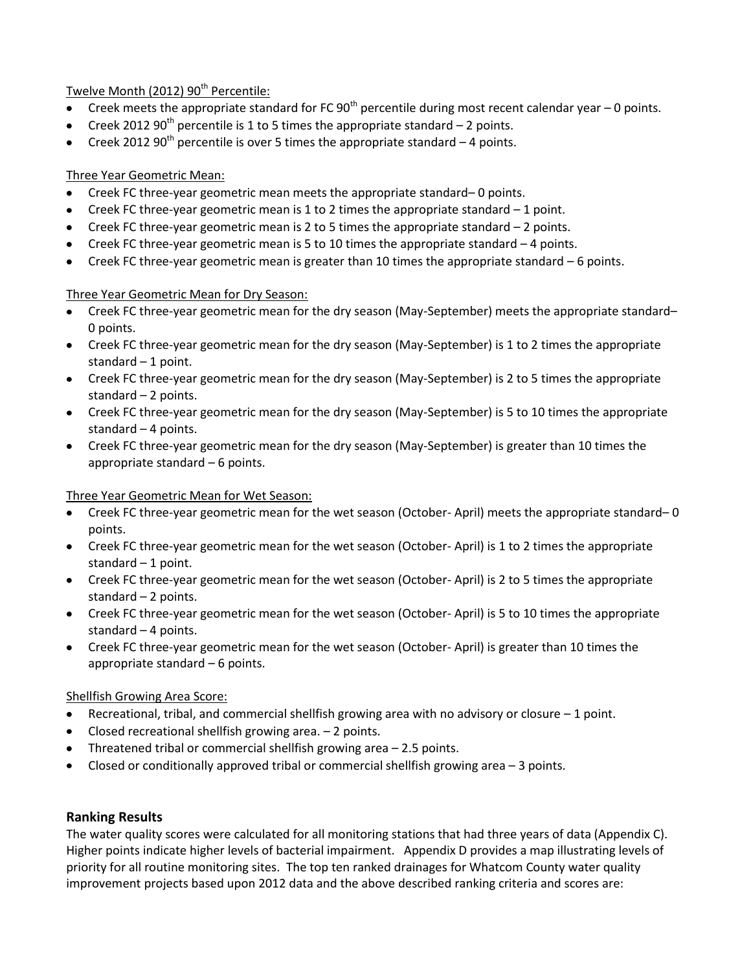## Twelve Month (2012) 90<sup>th</sup> Percentile:

- Creek meets the appropriate standard for FC  $90<sup>th</sup>$  percentile during most recent calendar year 0 points.
- Creek 2012 90<sup>th</sup> percentile is 1 to 5 times the appropriate standard  $-$  2 points.
- Creek 2012 90<sup>th</sup> percentile is over 5 times the appropriate standard  $-4$  points.

## Three Year Geometric Mean:

- Creek FC three-year geometric mean meets the appropriate standard– 0 points.
- Creek FC three-year geometric mean is 1 to 2 times the appropriate standard  $-1$  point.
- Creek FC three-year geometric mean is 2 to 5 times the appropriate standard 2 points.
- $\bullet$  Creek FC three-year geometric mean is 5 to 10 times the appropriate standard  $-4$  points.
- Creek FC three-year geometric mean is greater than 10 times the appropriate standard 6 points.

## Three Year Geometric Mean for Dry Season:

- Creek FC three-year geometric mean for the dry season (May-September) meets the appropriate standard– 0 points.
- Creek FC three-year geometric mean for the dry season (May-September) is 1 to 2 times the appropriate standard  $-1$  point.
- Creek FC three-year geometric mean for the dry season (May-September) is 2 to 5 times the appropriate standard  $-2$  points.
- Creek FC three-year geometric mean for the dry season (May-September) is 5 to 10 times the appropriate standard – 4 points.
- Creek FC three-year geometric mean for the dry season (May-September) is greater than 10 times the appropriate standard – 6 points.

## Three Year Geometric Mean for Wet Season:

- Creek FC three-year geometric mean for the wet season (October- April) meets the appropriate standard– 0 points.
- Creek FC three-year geometric mean for the wet season (October- April) is 1 to 2 times the appropriate standard  $-1$  point.
- Creek FC three-year geometric mean for the wet season (October- April) is 2 to 5 times the appropriate standard – 2 points.
- Creek FC three-year geometric mean for the wet season (October- April) is 5 to 10 times the appropriate standard – 4 points.
- Creek FC three-year geometric mean for the wet season (October- April) is greater than 10 times the appropriate standard – 6 points.

## Shellfish Growing Area Score:

- Recreational, tribal, and commercial shellfish growing area with no advisory or closure 1 point.
- Closed recreational shellfish growing area. 2 points.
- Threatened tribal or commercial shellfish growing area 2.5 points.
- Closed or conditionally approved tribal or commercial shellfish growing area  $-3$  points.

## **Ranking Results**

The water quality scores were calculated for all monitoring stations that had three years of data (Appendix C). Higher points indicate higher levels of bacterial impairment. Appendix D provides a map illustrating levels of priority for all routine monitoring sites. The top ten ranked drainages for Whatcom County water quality improvement projects based upon 2012 data and the above described ranking criteria and scores are: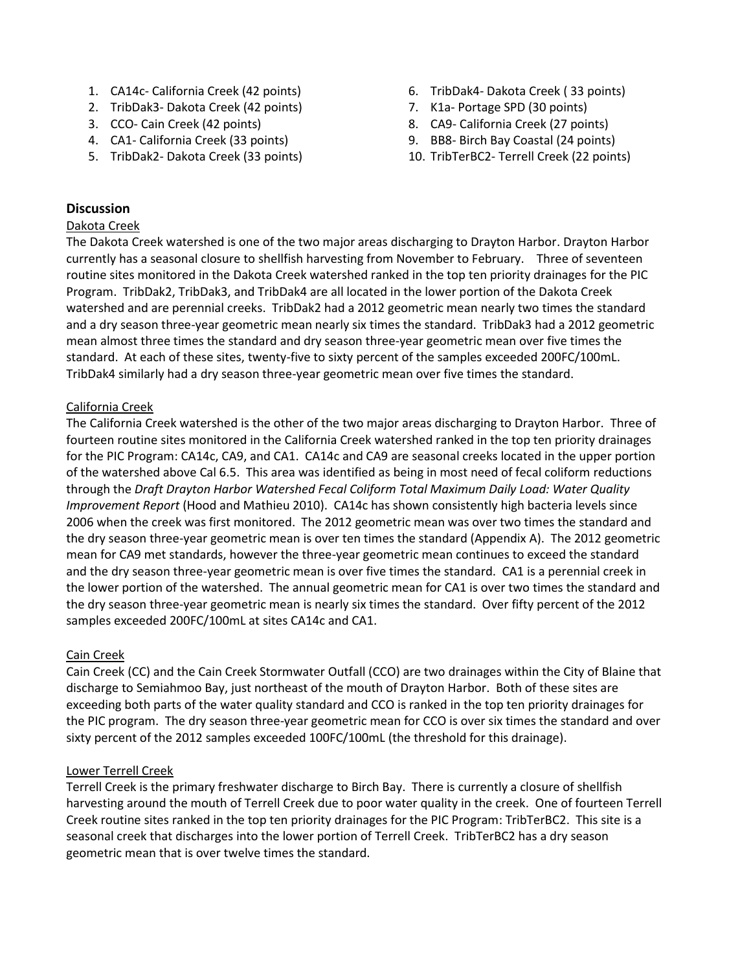- 1. CA14c- California Creek (42 points)
- 2. TribDak3- Dakota Creek (42 points)
- 3. CCO- Cain Creek (42 points)
- 4. CA1- California Creek (33 points)
- 5. TribDak2- Dakota Creek (33 points)
- 6. TribDak4- Dakota Creek ( 33 points)
- 7. K1a- Portage SPD (30 points)
- 8. CA9- California Creek (27 points)
- 9. BB8- Birch Bay Coastal (24 points)
- 10. TribTerBC2- Terrell Creek (22 points)

## **Discussion**

#### Dakota Creek

The Dakota Creek watershed is one of the two major areas discharging to Drayton Harbor. Drayton Harbor currently has a seasonal closure to shellfish harvesting from November to February. Three of seventeen routine sites monitored in the Dakota Creek watershed ranked in the top ten priority drainages for the PIC Program. TribDak2, TribDak3, and TribDak4 are all located in the lower portion of the Dakota Creek watershed and are perennial creeks. TribDak2 had a 2012 geometric mean nearly two times the standard and a dry season three-year geometric mean nearly six times the standard. TribDak3 had a 2012 geometric mean almost three times the standard and dry season three-year geometric mean over five times the standard. At each of these sites, twenty-five to sixty percent of the samples exceeded 200FC/100mL. TribDak4 similarly had a dry season three-year geometric mean over five times the standard.

### California Creek

The California Creek watershed is the other of the two major areas discharging to Drayton Harbor. Three of fourteen routine sites monitored in the California Creek watershed ranked in the top ten priority drainages for the PIC Program: CA14c, CA9, and CA1. CA14c and CA9 are seasonal creeks located in the upper portion of the watershed above Cal 6.5. This area was identified as being in most need of fecal coliform reductions through the *Draft Drayton Harbor Watershed Fecal Coliform Total Maximum Daily Load: Water Quality Improvement Report* (Hood and Mathieu 2010). CA14c has shown consistently high bacteria levels since 2006 when the creek was first monitored. The 2012 geometric mean was over two times the standard and the dry season three-year geometric mean is over ten times the standard (Appendix A). The 2012 geometric mean for CA9 met standards, however the three-year geometric mean continues to exceed the standard and the dry season three-year geometric mean is over five times the standard. CA1 is a perennial creek in the lower portion of the watershed. The annual geometric mean for CA1 is over two times the standard and the dry season three-year geometric mean is nearly six times the standard. Over fifty percent of the 2012 samples exceeded 200FC/100mL at sites CA14c and CA1.

#### Cain Creek

Cain Creek (CC) and the Cain Creek Stormwater Outfall (CCO) are two drainages within the City of Blaine that discharge to Semiahmoo Bay, just northeast of the mouth of Drayton Harbor. Both of these sites are exceeding both parts of the water quality standard and CCO is ranked in the top ten priority drainages for the PIC program. The dry season three-year geometric mean for CCO is over six times the standard and over sixty percent of the 2012 samples exceeded 100FC/100mL (the threshold for this drainage).

#### Lower Terrell Creek

Terrell Creek is the primary freshwater discharge to Birch Bay. There is currently a closure of shellfish harvesting around the mouth of Terrell Creek due to poor water quality in the creek. One of fourteen Terrell Creek routine sites ranked in the top ten priority drainages for the PIC Program: TribTerBC2. This site is a seasonal creek that discharges into the lower portion of Terrell Creek. TribTerBC2 has a dry season geometric mean that is over twelve times the standard.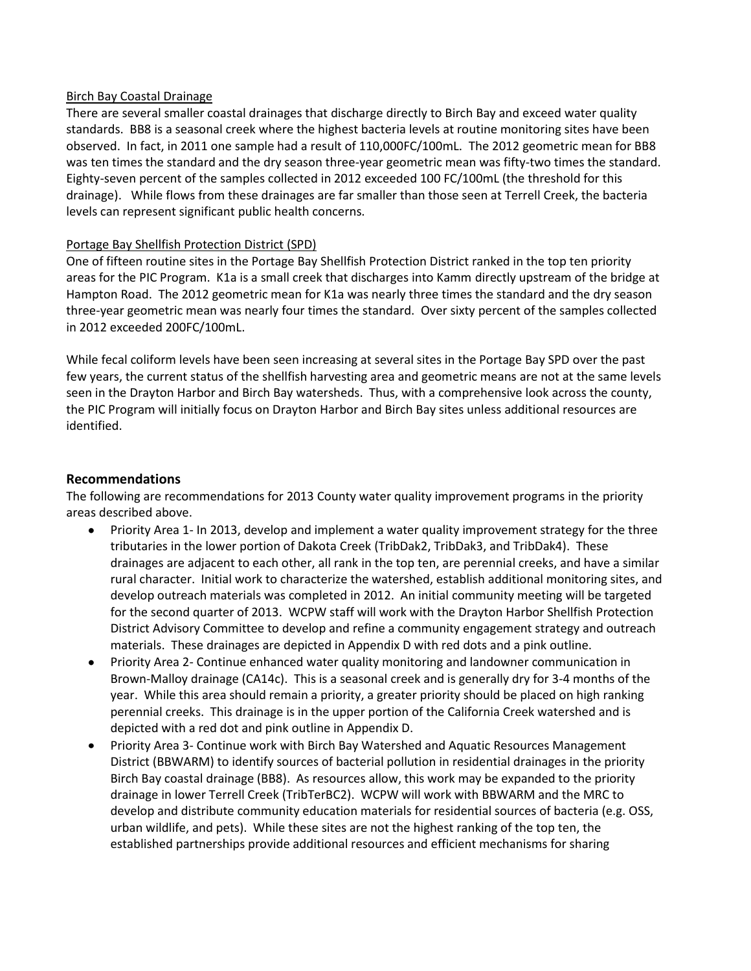#### Birch Bay Coastal Drainage

There are several smaller coastal drainages that discharge directly to Birch Bay and exceed water quality standards. BB8 is a seasonal creek where the highest bacteria levels at routine monitoring sites have been observed. In fact, in 2011 one sample had a result of 110,000FC/100mL. The 2012 geometric mean for BB8 was ten times the standard and the dry season three-year geometric mean was fifty-two times the standard. Eighty-seven percent of the samples collected in 2012 exceeded 100 FC/100mL (the threshold for this drainage). While flows from these drainages are far smaller than those seen at Terrell Creek, the bacteria levels can represent significant public health concerns.

#### Portage Bay Shellfish Protection District (SPD)

One of fifteen routine sites in the Portage Bay Shellfish Protection District ranked in the top ten priority areas for the PIC Program. K1a is a small creek that discharges into Kamm directly upstream of the bridge at Hampton Road. The 2012 geometric mean for K1a was nearly three times the standard and the dry season three-year geometric mean was nearly four times the standard. Over sixty percent of the samples collected in 2012 exceeded 200FC/100mL.

While fecal coliform levels have been seen increasing at several sites in the Portage Bay SPD over the past few years, the current status of the shellfish harvesting area and geometric means are not at the same levels seen in the Drayton Harbor and Birch Bay watersheds. Thus, with a comprehensive look across the county, the PIC Program will initially focus on Drayton Harbor and Birch Bay sites unless additional resources are identified.

## **Recommendations**

The following are recommendations for 2013 County water quality improvement programs in the priority areas described above.

- Priority Area 1- In 2013, develop and implement a water quality improvement strategy for the three tributaries in the lower portion of Dakota Creek (TribDak2, TribDak3, and TribDak4). These drainages are adjacent to each other, all rank in the top ten, are perennial creeks, and have a similar rural character. Initial work to characterize the watershed, establish additional monitoring sites, and develop outreach materials was completed in 2012. An initial community meeting will be targeted for the second quarter of 2013. WCPW staff will work with the Drayton Harbor Shellfish Protection District Advisory Committee to develop and refine a community engagement strategy and outreach materials. These drainages are depicted in Appendix D with red dots and a pink outline.
- Priority Area 2- Continue enhanced water quality monitoring and landowner communication in Brown-Malloy drainage (CA14c). This is a seasonal creek and is generally dry for 3-4 months of the year. While this area should remain a priority, a greater priority should be placed on high ranking perennial creeks. This drainage is in the upper portion of the California Creek watershed and is depicted with a red dot and pink outline in Appendix D.
- Priority Area 3- Continue work with Birch Bay Watershed and Aquatic Resources Management District (BBWARM) to identify sources of bacterial pollution in residential drainages in the priority Birch Bay coastal drainage (BB8). As resources allow, this work may be expanded to the priority drainage in lower Terrell Creek (TribTerBC2). WCPW will work with BBWARM and the MRC to develop and distribute community education materials for residential sources of bacteria (e.g. OSS, urban wildlife, and pets). While these sites are not the highest ranking of the top ten, the established partnerships provide additional resources and efficient mechanisms for sharing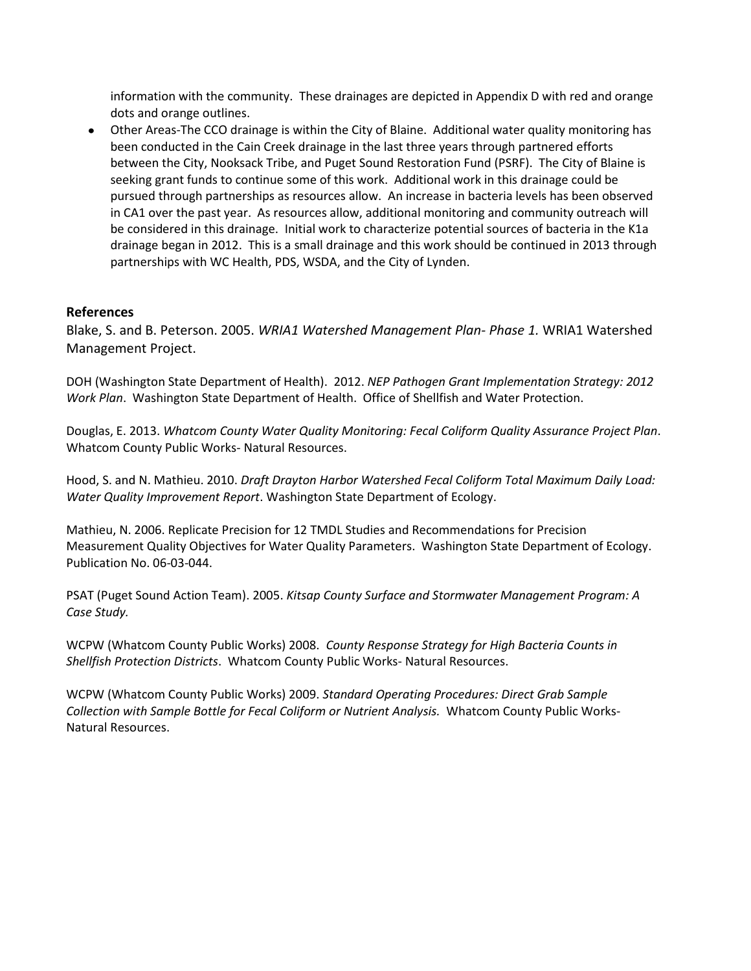information with the community. These drainages are depicted in Appendix D with red and orange dots and orange outlines.

Other Areas-The CCO drainage is within the City of Blaine. Additional water quality monitoring has been conducted in the Cain Creek drainage in the last three years through partnered efforts between the City, Nooksack Tribe, and Puget Sound Restoration Fund (PSRF). The City of Blaine is seeking grant funds to continue some of this work. Additional work in this drainage could be pursued through partnerships as resources allow. An increase in bacteria levels has been observed in CA1 over the past year. As resources allow, additional monitoring and community outreach will be considered in this drainage. Initial work to characterize potential sources of bacteria in the K1a drainage began in 2012. This is a small drainage and this work should be continued in 2013 through partnerships with WC Health, PDS, WSDA, and the City of Lynden.

### **References**

Blake, S. and B. Peterson. 2005. *WRIA1 Watershed Management Plan- Phase 1.* WRIA1 Watershed Management Project.

DOH (Washington State Department of Health). 2012. *NEP Pathogen Grant Implementation Strategy: 2012 Work Plan*. Washington State Department of Health. Office of Shellfish and Water Protection.

Douglas, E. 2013. *Whatcom County Water Quality Monitoring: Fecal Coliform Quality Assurance Project Plan*. Whatcom County Public Works- Natural Resources.

Hood, S. and N. Mathieu. 2010. *Draft Drayton Harbor Watershed Fecal Coliform Total Maximum Daily Load: Water Quality Improvement Report*. Washington State Department of Ecology.

Mathieu, N. 2006. Replicate Precision for 12 TMDL Studies and Recommendations for Precision Measurement Quality Objectives for Water Quality Parameters. Washington State Department of Ecology. Publication No. 06-03-044.

PSAT (Puget Sound Action Team). 2005. *Kitsap County Surface and Stormwater Management Program: A Case Study.* 

WCPW (Whatcom County Public Works) 2008. *County Response Strategy for High Bacteria Counts in Shellfish Protection Districts*. Whatcom County Public Works- Natural Resources.

WCPW (Whatcom County Public Works) 2009. *Standard Operating Procedures: Direct Grab Sample Collection with Sample Bottle for Fecal Coliform or Nutrient Analysis.* Whatcom County Public Works-Natural Resources.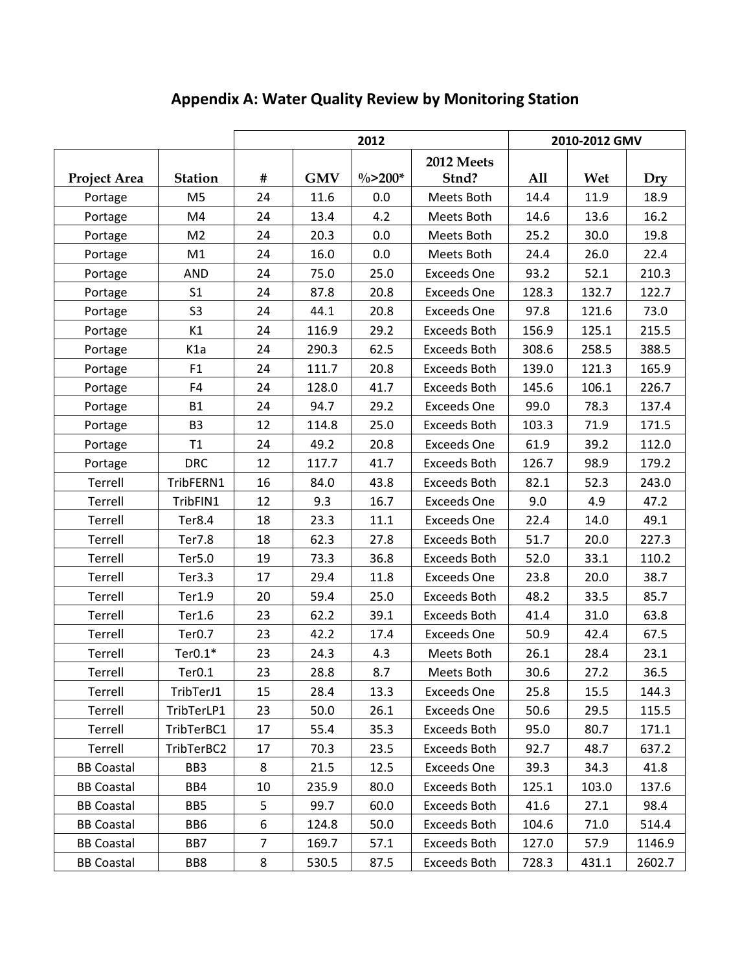|                   |                    |    |            | 2012       | 2010-2012 GMV       |       |       |        |
|-------------------|--------------------|----|------------|------------|---------------------|-------|-------|--------|
|                   |                    |    |            |            | 2012 Meets          |       |       |        |
| Project Area      | <b>Station</b>     | #  | <b>GMV</b> | $\%$ >200* | Stnd?               | All   | Wet   | Dry    |
| Portage           | M <sub>5</sub>     | 24 | 11.6       | 0.0        | Meets Both          | 14.4  | 11.9  | 18.9   |
| Portage           | M4                 | 24 | 13.4       | 4.2        | Meets Both          | 14.6  | 13.6  | 16.2   |
| Portage           | M <sub>2</sub>     | 24 | 20.3       | 0.0        | Meets Both          | 25.2  | 30.0  | 19.8   |
| Portage           | M1                 | 24 | 16.0       | 0.0        | Meets Both          | 24.4  | 26.0  | 22.4   |
| Portage           | <b>AND</b>         | 24 | 75.0       | 25.0       | <b>Exceeds One</b>  | 93.2  | 52.1  | 210.3  |
| Portage           | S <sub>1</sub>     | 24 | 87.8       | 20.8       | <b>Exceeds One</b>  | 128.3 | 132.7 | 122.7  |
| Portage           | S <sub>3</sub>     | 24 | 44.1       | 20.8       | <b>Exceeds One</b>  | 97.8  | 121.6 | 73.0   |
| Portage           | K1                 | 24 | 116.9      | 29.2       | <b>Exceeds Both</b> | 156.9 | 125.1 | 215.5  |
| Portage           | K1a                | 24 | 290.3      | 62.5       | <b>Exceeds Both</b> | 308.6 | 258.5 | 388.5  |
| Portage           | F1                 | 24 | 111.7      | 20.8       | <b>Exceeds Both</b> | 139.0 | 121.3 | 165.9  |
| Portage           | F4                 | 24 | 128.0      | 41.7       | Exceeds Both        | 145.6 | 106.1 | 226.7  |
| Portage           | <b>B1</b>          | 24 | 94.7       | 29.2       | <b>Exceeds One</b>  | 99.0  | 78.3  | 137.4  |
| Portage           | B <sub>3</sub>     | 12 | 114.8      | 25.0       | <b>Exceeds Both</b> | 103.3 | 71.9  | 171.5  |
| Portage           | T1                 | 24 | 49.2       | 20.8       | <b>Exceeds One</b>  | 61.9  | 39.2  | 112.0  |
| Portage           | <b>DRC</b>         | 12 | 117.7      | 41.7       | <b>Exceeds Both</b> | 126.7 | 98.9  | 179.2  |
| Terrell           | TribFERN1          | 16 | 84.0       | 43.8       | <b>Exceeds Both</b> | 82.1  | 52.3  | 243.0  |
| Terrell           | TribFIN1           | 12 | 9.3        | 16.7       | <b>Exceeds One</b>  | 9.0   | 4.9   | 47.2   |
| Terrell           | Ter8.4             | 18 | 23.3       | 11.1       | <b>Exceeds One</b>  | 22.4  | 14.0  | 49.1   |
| Terrell           | Ter7.8             | 18 | 62.3       | 27.8       | <b>Exceeds Both</b> | 51.7  | 20.0  | 227.3  |
| Terrell           | Ter5.0             | 19 | 73.3       | 36.8       | <b>Exceeds Both</b> | 52.0  | 33.1  | 110.2  |
| Terrell           | Ter3.3             | 17 | 29.4       | 11.8       | <b>Exceeds One</b>  | 23.8  | 20.0  | 38.7   |
| Terrell           | Ter1.9             | 20 | 59.4       | 25.0       | <b>Exceeds Both</b> | 48.2  | 33.5  | 85.7   |
| Terrell           | Ter1.6             | 23 | 62.2       | 39.1       | <b>Exceeds Both</b> | 41.4  | 31.0  | 63.8   |
| Terrell           | Ter <sub>0.7</sub> | 23 | 42.2       | 17.4       | <b>Exceeds One</b>  | 50.9  | 42.4  | 67.5   |
| Terrell           | Ter $0.1*$         | 23 | 24.3       | 4.3        | Meets Both          | 26.1  | 28.4  | 23.1   |
| Terrell           | Ter <sub>0.1</sub> | 23 | 28.8       | 8.7        | Meets Both          | 30.6  | 27.2  | 36.5   |
| Terrell           | TribTerJ1          | 15 | 28.4       | 13.3       | <b>Exceeds One</b>  | 25.8  | 15.5  | 144.3  |
| Terrell           | TribTerLP1         | 23 | 50.0       | 26.1       | <b>Exceeds One</b>  | 50.6  | 29.5  | 115.5  |
| Terrell           | TribTerBC1         | 17 | 55.4       | 35.3       | Exceeds Both        | 95.0  | 80.7  | 171.1  |
| Terrell           | TribTerBC2         | 17 | 70.3       | 23.5       | <b>Exceeds Both</b> | 92.7  | 48.7  | 637.2  |
| <b>BB Coastal</b> | BB <sub>3</sub>    | 8  | 21.5       | 12.5       | <b>Exceeds One</b>  | 39.3  | 34.3  | 41.8   |
| <b>BB Coastal</b> | BB4                | 10 | 235.9      | 80.0       | <b>Exceeds Both</b> | 125.1 | 103.0 | 137.6  |
| <b>BB Coastal</b> | BB5                | 5  | 99.7       | 60.0       | <b>Exceeds Both</b> | 41.6  | 27.1  | 98.4   |
| <b>BB Coastal</b> | BB6                | 6  | 124.8      | 50.0       | Exceeds Both        | 104.6 | 71.0  | 514.4  |
| <b>BB Coastal</b> | BB7                | 7  | 169.7      | 57.1       | Exceeds Both        | 127.0 | 57.9  | 1146.9 |
| <b>BB Coastal</b> | BB8                | 8  | 530.5      | 87.5       | Exceeds Both        | 728.3 | 431.1 | 2602.7 |

## **Appendix A: Water Quality Review by Monitoring Station**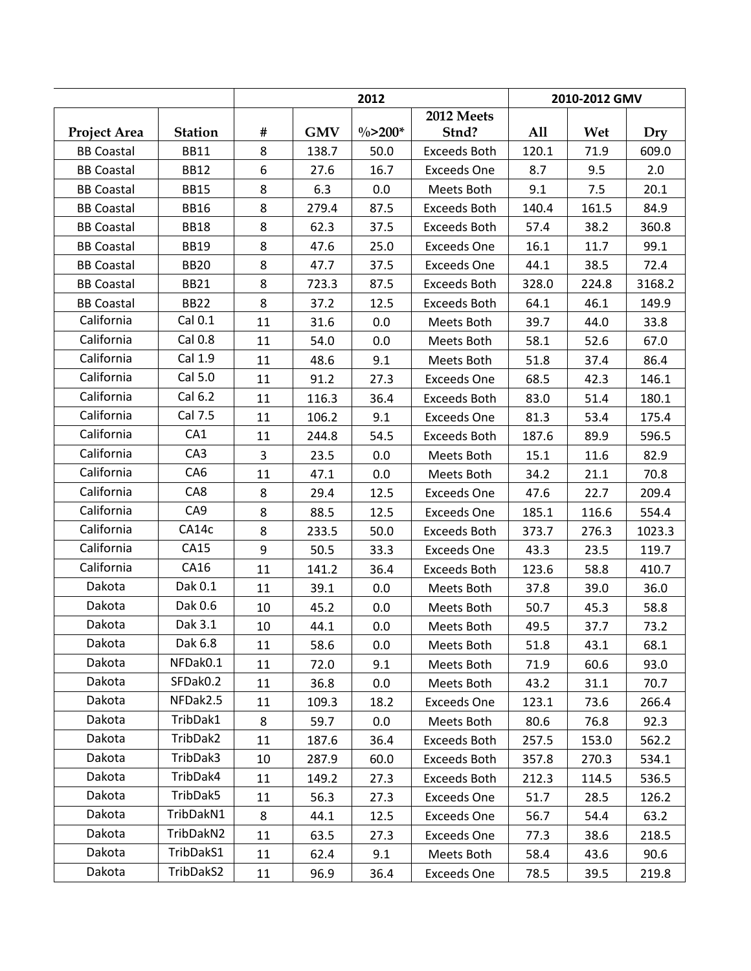|                     |                 | 2012           |            |            |                     | 2010-2012 GMV |       |        |  |
|---------------------|-----------------|----------------|------------|------------|---------------------|---------------|-------|--------|--|
|                     |                 |                |            |            | 2012 Meets          |               |       |        |  |
| <b>Project Area</b> | <b>Station</b>  | $\#$           | <b>GMV</b> | $\%$ >200* | Stnd?               | All           | Wet   | Dry    |  |
| <b>BB Coastal</b>   | <b>BB11</b>     | 8              | 138.7      | 50.0       | <b>Exceeds Both</b> | 120.1         | 71.9  | 609.0  |  |
| <b>BB Coastal</b>   | <b>BB12</b>     | 6              | 27.6       | 16.7       | <b>Exceeds One</b>  | 8.7           | 9.5   | 2.0    |  |
| <b>BB Coastal</b>   | <b>BB15</b>     | 8              | 6.3        | 0.0        | Meets Both          | 9.1           | 7.5   | 20.1   |  |
| <b>BB Coastal</b>   | <b>BB16</b>     | 8              | 279.4      | 87.5       | Exceeds Both        | 140.4         | 161.5 | 84.9   |  |
| <b>BB Coastal</b>   | <b>BB18</b>     | 8              | 62.3       | 37.5       | <b>Exceeds Both</b> | 57.4          | 38.2  | 360.8  |  |
| <b>BB Coastal</b>   | <b>BB19</b>     | 8              | 47.6       | 25.0       | <b>Exceeds One</b>  | 16.1          | 11.7  | 99.1   |  |
| <b>BB Coastal</b>   | <b>BB20</b>     | 8              | 47.7       | 37.5       | <b>Exceeds One</b>  | 44.1          | 38.5  | 72.4   |  |
| <b>BB Coastal</b>   | <b>BB21</b>     | 8              | 723.3      | 87.5       | <b>Exceeds Both</b> | 328.0         | 224.8 | 3168.2 |  |
| <b>BB Coastal</b>   | <b>BB22</b>     | 8              | 37.2       | 12.5       | <b>Exceeds Both</b> | 64.1          | 46.1  | 149.9  |  |
| California          | Cal 0.1         | 11             | 31.6       | 0.0        | Meets Both          | 39.7          | 44.0  | 33.8   |  |
| California          | Cal 0.8         | 11             | 54.0       | 0.0        | Meets Both          | 58.1          | 52.6  | 67.0   |  |
| California          | Cal 1.9         | 11             | 48.6       | 9.1        | Meets Both          | 51.8          | 37.4  | 86.4   |  |
| California          | Cal 5.0         | 11             | 91.2       | 27.3       | <b>Exceeds One</b>  | 68.5          | 42.3  | 146.1  |  |
| California          | Cal 6.2         | 11             | 116.3      | 36.4       | Exceeds Both        | 83.0          | 51.4  | 180.1  |  |
| California          | Cal 7.5         | 11             | 106.2      | 9.1        | <b>Exceeds One</b>  | 81.3          | 53.4  | 175.4  |  |
| California          | CA1             | 11             | 244.8      | 54.5       | <b>Exceeds Both</b> | 187.6         | 89.9  | 596.5  |  |
| California          | CA <sub>3</sub> | $\overline{3}$ | 23.5       | 0.0        | Meets Both          | 15.1          | 11.6  | 82.9   |  |
| California          | CA6             | 11             | 47.1       | 0.0        | Meets Both          | 34.2          | 21.1  | 70.8   |  |
| California          | CA8             | 8              | 29.4       | 12.5       | <b>Exceeds One</b>  | 47.6          | 22.7  | 209.4  |  |
| California          | CA9             | 8              | 88.5       | 12.5       | <b>Exceeds One</b>  | 185.1         | 116.6 | 554.4  |  |
| California          | CA14c           | 8              | 233.5      | 50.0       | <b>Exceeds Both</b> | 373.7         | 276.3 | 1023.3 |  |
| California          | CA15            | 9              | 50.5       | 33.3       | <b>Exceeds One</b>  | 43.3          | 23.5  | 119.7  |  |
| California          | CA16            | 11             | 141.2      | 36.4       | <b>Exceeds Both</b> | 123.6         | 58.8  | 410.7  |  |
| Dakota              | Dak 0.1         | 11             | 39.1       | 0.0        | Meets Both          | 37.8          | 39.0  | 36.0   |  |
| Dakota              | Dak 0.6         | 10             | 45.2       | 0.0        | Meets Both          | 50.7          | 45.3  | 58.8   |  |
| Dakota              | Dak 3.1         | 10             | 44.1       | 0.0        | Meets Both          | 49.5          | 37.7  | 73.2   |  |
| Dakota              | Dak 6.8         | 11             | 58.6       | 0.0        | Meets Both          | 51.8          | 43.1  | 68.1   |  |
| Dakota              | NFDak0.1        | 11             | 72.0       | 9.1        | Meets Both          | 71.9          | 60.6  | 93.0   |  |
| Dakota              | SFDak0.2        | 11             | 36.8       | 0.0        | Meets Both          | 43.2          | 31.1  | 70.7   |  |
| Dakota              | NFDak2.5        | 11             | 109.3      | 18.2       | <b>Exceeds One</b>  | 123.1         | 73.6  | 266.4  |  |
| Dakota              | TribDak1        | 8              | 59.7       | 0.0        | Meets Both          | 80.6          | 76.8  | 92.3   |  |
| Dakota              | TribDak2        | 11             | 187.6      | 36.4       | <b>Exceeds Both</b> | 257.5         | 153.0 | 562.2  |  |
| Dakota              | TribDak3        | 10             | 287.9      | 60.0       | Exceeds Both        | 357.8         | 270.3 | 534.1  |  |
| Dakota              | TribDak4        | 11             | 149.2      | 27.3       | Exceeds Both        | 212.3         | 114.5 | 536.5  |  |
| Dakota              | TribDak5        | 11             | 56.3       | 27.3       | <b>Exceeds One</b>  | 51.7          | 28.5  | 126.2  |  |
| Dakota              | TribDakN1       | 8              | 44.1       | 12.5       | <b>Exceeds One</b>  | 56.7          | 54.4  | 63.2   |  |
| Dakota              | TribDakN2       | 11             | 63.5       | 27.3       | <b>Exceeds One</b>  | 77.3          | 38.6  | 218.5  |  |
| Dakota              | TribDakS1       | 11             | 62.4       | 9.1        | Meets Both          | 58.4          | 43.6  | 90.6   |  |
| Dakota              | TribDakS2       | 11             | 96.9       | 36.4       | Exceeds One         | 78.5          | 39.5  | 219.8  |  |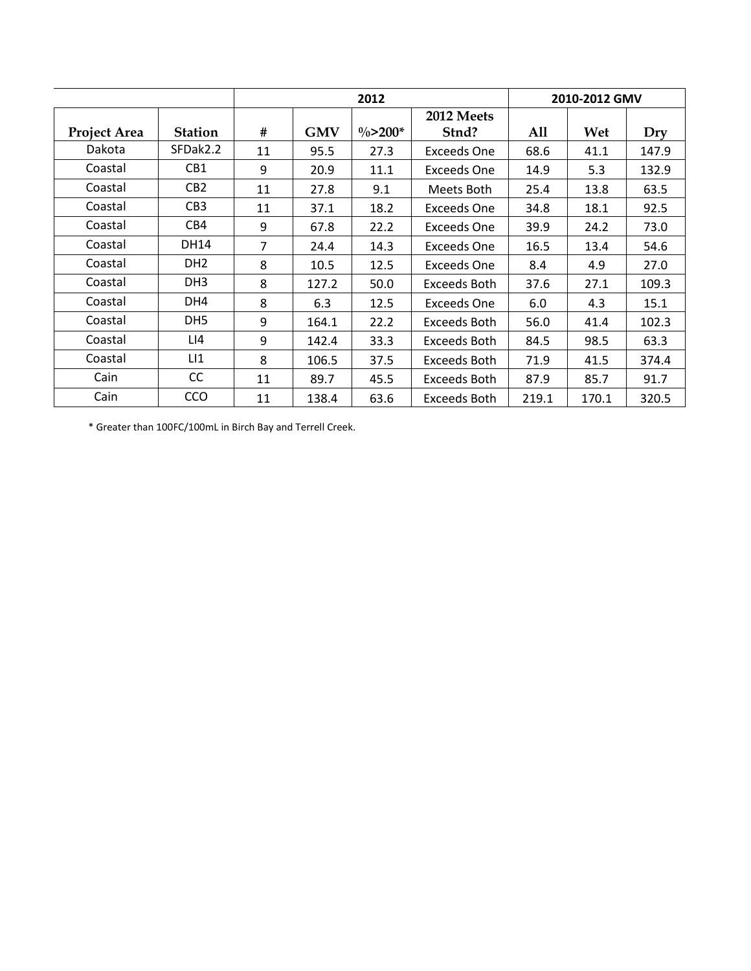|                     |                 |    |            | 2012        |                    | 2010-2012 GMV |       |       |
|---------------------|-----------------|----|------------|-------------|--------------------|---------------|-------|-------|
|                     |                 |    |            |             | 2012 Meets         |               |       |       |
| <b>Project Area</b> | <b>Station</b>  | #  | <b>GMV</b> | $\% > 200*$ | Stnd?              | All           | Wet   | Dry   |
| Dakota              | SFDak2.2        | 11 | 95.5       | 27.3        | <b>Exceeds One</b> | 68.6          | 41.1  | 147.9 |
| Coastal             | CB1             | 9  | 20.9       | 11.1        | <b>Exceeds One</b> | 14.9          | 5.3   | 132.9 |
| Coastal             | CB <sub>2</sub> | 11 | 27.8       | 9.1         | Meets Both         | 25.4          | 13.8  | 63.5  |
| Coastal             | CB <sub>3</sub> | 11 | 37.1       | 18.2        | Exceeds One        | 34.8          | 18.1  | 92.5  |
| Coastal             | CB4             | 9  | 67.8       | 22.2        | <b>Exceeds One</b> | 39.9          | 24.2  | 73.0  |
| Coastal             | <b>DH14</b>     | 7  | 24.4       | 14.3        | <b>Exceeds One</b> | 16.5          | 13.4  | 54.6  |
| Coastal             | DH <sub>2</sub> | 8  | 10.5       | 12.5        | <b>Exceeds One</b> | 8.4           | 4.9   | 27.0  |
| Coastal             | DH <sub>3</sub> | 8  | 127.2      | 50.0        | Exceeds Both       | 37.6          | 27.1  | 109.3 |
| Coastal             | DH4             | 8  | 6.3        | 12.5        | <b>Exceeds One</b> | 6.0           | 4.3   | 15.1  |
| Coastal             | DH <sub>5</sub> | 9  | 164.1      | 22.2        | Exceeds Both       | 56.0          | 41.4  | 102.3 |
| Coastal             | LI4             | 9  | 142.4      | 33.3        | Exceeds Both       | 84.5          | 98.5  | 63.3  |
| Coastal             | LI              | 8  | 106.5      | 37.5        | Exceeds Both       | 71.9          | 41.5  | 374.4 |
| Cain                | CC              | 11 | 89.7       | 45.5        | Exceeds Both       | 87.9          | 85.7  | 91.7  |
| Cain                | <b>CCO</b>      | 11 | 138.4      | 63.6        | Exceeds Both       | 219.1         | 170.1 | 320.5 |

\* Greater than 100FC/100mL in Birch Bay and Terrell Creek.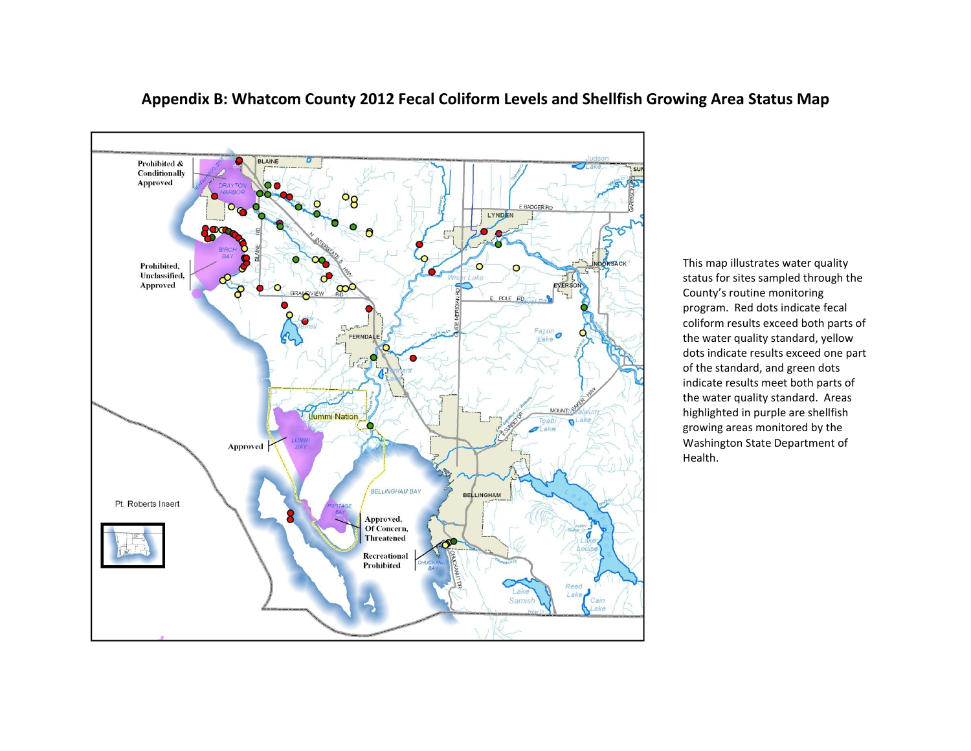

## **Appendix B: Whatcom County 2012 Fecal Coliform Levels and Shellfish Growing Area Status Map**

This map illustrates water quality status for sites sampled through the County's routine monitoring program. Red dots indicate fecal coliform results exceed both parts of the water quality standard, yellow dots indicate results exceed one part of the standard, and green dots indicate results meet both parts of the water quality standard. Areas highlighted in purple are shellfish growing areas monitored by the Washington State Department of Health.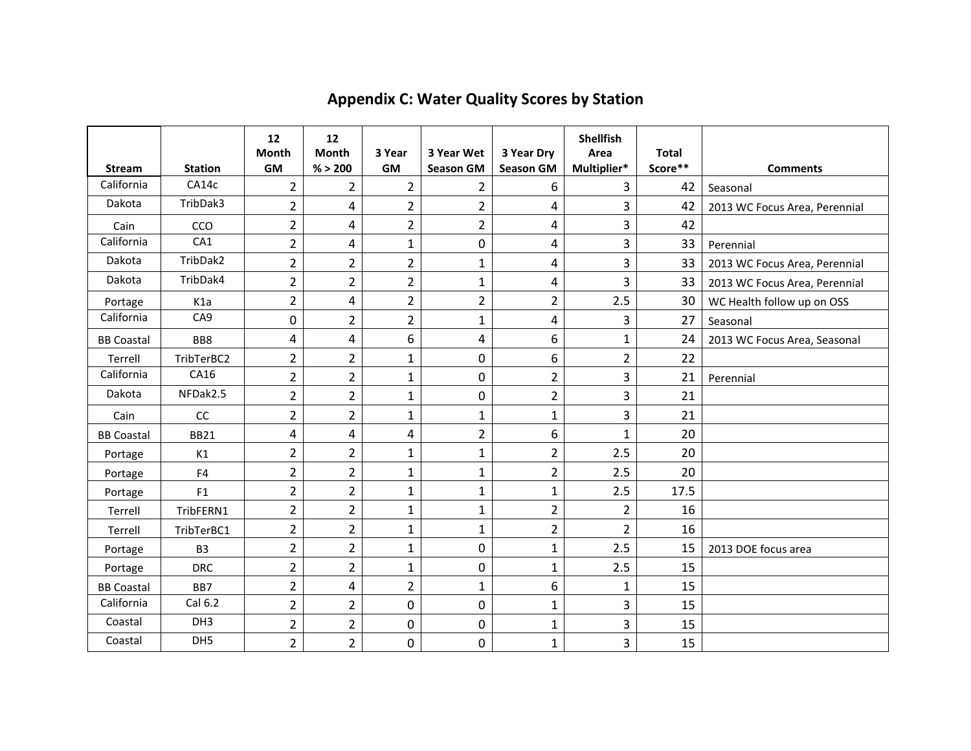| <b>Stream</b>     | <b>Station</b>   | 12<br>Month<br><b>GM</b> | 12<br><b>Month</b><br>% > 200 | 3 Year<br><b>GM</b> | 3 Year Wet<br><b>Season GM</b> | 3 Year Dry<br><b>Season GM</b> | <b>Shellfish</b><br>Area<br>Multiplier* | <b>Total</b><br>Score** | <b>Comments</b>               |
|-------------------|------------------|--------------------------|-------------------------------|---------------------|--------------------------------|--------------------------------|-----------------------------------------|-------------------------|-------------------------------|
| California        | CA14c            | $\overline{2}$           | $\overline{2}$                | $\overline{2}$      | $\overline{2}$                 | 6                              | 3                                       | 42                      | Seasonal                      |
| Dakota            | TribDak3         | $\overline{2}$           | 4                             | $\overline{2}$      | $\overline{2}$                 | 4                              | 3                                       | 42                      | 2013 WC Focus Area, Perennial |
| Cain              | CCO              | $\overline{2}$           | 4                             | $\overline{2}$      | $\overline{2}$                 | 4                              | $\overline{\mathbf{3}}$                 | 42                      |                               |
| California        | CA1              | $\overline{2}$           | 4                             | $\mathbf{1}$        | 0                              | 4                              | 3                                       | 33                      | Perennial                     |
| Dakota            | TribDak2         | $\overline{2}$           | $\overline{2}$                | $\overline{2}$      | $\mathbf 1$                    | 4                              | $\overline{3}$                          | 33                      | 2013 WC Focus Area, Perennial |
| Dakota            | TribDak4         | $\overline{2}$           | $\overline{2}$                | $\overline{2}$      | $\mathbf{1}$                   | 4                              | 3                                       | 33                      | 2013 WC Focus Area, Perennial |
| Portage           | K <sub>1</sub> a | $\overline{2}$           | 4                             | $\overline{2}$      | $\overline{2}$                 | $\overline{2}$                 | 2.5                                     | 30                      | WC Health follow up on OSS    |
| California        | CA <sub>9</sub>  | $\mathbf 0$              | $\overline{2}$                | $\overline{2}$      | $\mathbf{1}$                   | 4                              | 3                                       | 27                      | Seasonal                      |
| <b>BB Coastal</b> | BB8              | 4                        | 4                             | 6                   | 4                              | 6                              | $\mathbf{1}$                            | 24                      | 2013 WC Focus Area, Seasonal  |
| Terrell           | TribTerBC2       | $\overline{2}$           | 2                             | $\mathbf 1$         | 0                              | 6                              | $\overline{2}$                          | 22                      |                               |
| California        | CA16             | $\overline{2}$           | $\overline{2}$                | $\mathbf{1}$        | $\mathbf 0$                    | $\overline{2}$                 | 3                                       | 21                      | Perennial                     |
| Dakota            | NFDak2.5         | $\overline{2}$           | $\overline{2}$                | $\mathbf{1}$        | 0                              | $\overline{2}$                 | 3                                       | 21                      |                               |
| Cain              | cc               | $\overline{2}$           | $\overline{2}$                | $\mathbf{1}$        | $\mathbf{1}$                   | $\mathbf{1}$                   | $\overline{3}$                          | 21                      |                               |
| <b>BB Coastal</b> | <b>BB21</b>      | 4                        | 4                             | 4                   | $\overline{2}$                 | 6                              | $\mathbf{1}$                            | 20                      |                               |
| Portage           | K1               | 2                        | 2                             | $\mathbf{1}$        | $\mathbf{1}$                   | $\overline{2}$                 | 2.5                                     | 20                      |                               |
| Portage           | F4               | $\overline{2}$           | $\overline{2}$                | $\mathbf{1}$        | $\mathbf{1}$                   | $\overline{2}$                 | 2.5                                     | 20                      |                               |
| Portage           | F <sub>1</sub>   | $\overline{2}$           | $\overline{2}$                | $\mathbf 1$         | $\mathbf{1}$                   | $\mathbf{1}$                   | 2.5                                     | 17.5                    |                               |
| Terrell           | TribFERN1        | $\overline{2}$           | $\overline{2}$                | $\mathbf{1}$        | $\mathbf{1}$                   | $\overline{2}$                 | $\overline{2}$                          | 16                      |                               |
| Terrell           | TribTerBC1       | $\overline{2}$           | $\overline{2}$                | $\mathbf{1}$        | $\mathbf{1}$                   | $\overline{2}$                 | $\overline{2}$                          | 16                      |                               |
| Portage           | B <sub>3</sub>   | $\overline{2}$           | $\overline{2}$                | $\mathbf{1}$        | $\mathbf 0$                    | $\mathbf{1}$                   | 2.5                                     | 15                      | 2013 DOE focus area           |
| Portage           | <b>DRC</b>       | $\overline{2}$           | $\overline{2}$                | $\mathbf{1}$        | $\mathbf 0$                    | $\mathbf{1}$                   | 2.5                                     | 15                      |                               |
| <b>BB Coastal</b> | BB7              | $\overline{2}$           | 4                             | $\overline{2}$      | $\mathbf{1}$                   | 6                              | $\mathbf{1}$                            | 15                      |                               |
| California        | Cal 6.2          | $\overline{2}$           | $\overline{2}$                | $\boldsymbol{0}$    | 0                              | $\mathbf{1}$                   | 3                                       | 15                      |                               |
| Coastal           | DH <sub>3</sub>  | $\overline{2}$           | $\overline{2}$                | $\boldsymbol{0}$    | 0                              | $\mathbf{1}$                   | 3                                       | 15                      |                               |
| Coastal           | DH5              | $\overline{2}$           | $\overline{2}$                | 0                   | 0                              | $\mathbf{1}$                   | 3                                       | 15                      |                               |

# **Appendix C: Water Quality Scores by Station**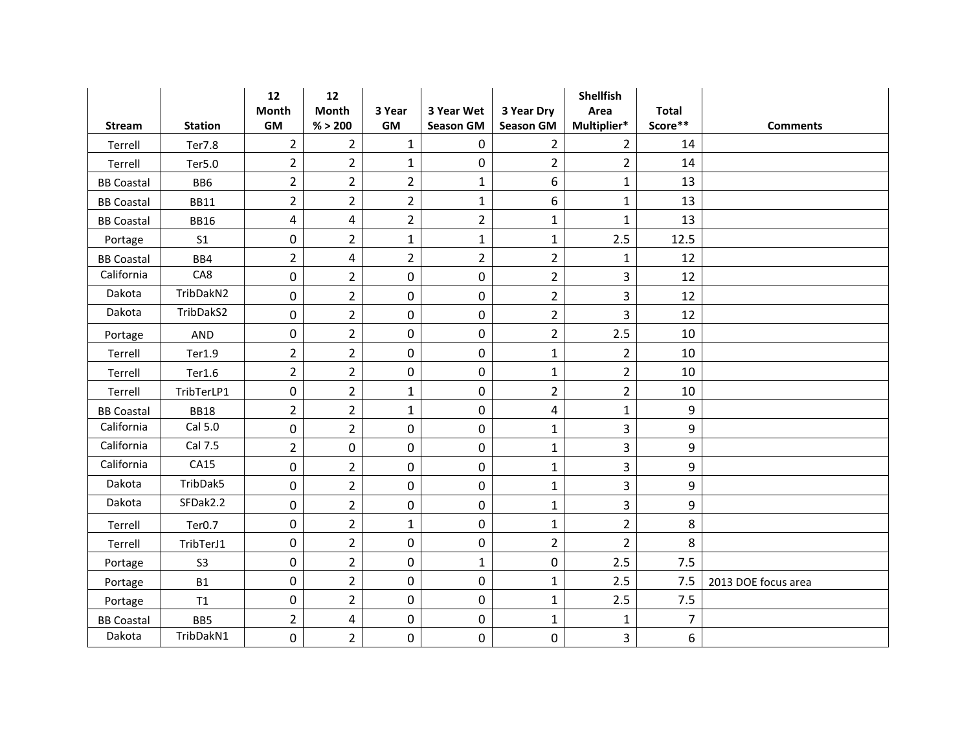|                   |                    | 12               | 12             |                |                  |                  | <b>Shellfish</b>        |                |                     |
|-------------------|--------------------|------------------|----------------|----------------|------------------|------------------|-------------------------|----------------|---------------------|
|                   |                    | Month            | <b>Month</b>   | 3 Year         | 3 Year Wet       | 3 Year Dry       | Area                    | <b>Total</b>   |                     |
| <b>Stream</b>     | <b>Station</b>     | GM               | % > 200        | <b>GM</b>      | <b>Season GM</b> | <b>Season GM</b> | Multiplier*             | Score**        | <b>Comments</b>     |
| Terrell           | <b>Ter7.8</b>      | $\overline{2}$   | $\overline{2}$ | $\mathbf{1}$   | 0                | $\overline{2}$   | $\overline{2}$          | 14             |                     |
| Terrell           | Ter5.0             | $\overline{2}$   | $\overline{2}$ | $\mathbf 1$    | $\pmb{0}$        | $\overline{2}$   | $\overline{2}$          | 14             |                     |
| <b>BB Coastal</b> | BB6                | $\overline{2}$   | $\overline{2}$ | $\overline{2}$ | $\mathbf{1}$     | 6                | $\mathbf{1}$            | 13             |                     |
| <b>BB Coastal</b> | <b>BB11</b>        | $\overline{2}$   | $\overline{2}$ | $\overline{2}$ | $\mathbf{1}$     | 6                | $\mathbf 1$             | 13             |                     |
| <b>BB Coastal</b> | <b>BB16</b>        | 4                | 4              | $\overline{2}$ | $\overline{2}$   | $\mathbf{1}$     | $\mathbf{1}$            | 13             |                     |
| Portage           | S <sub>1</sub>     | $\boldsymbol{0}$ | $\overline{2}$ | $\mathbf{1}$   | $\mathbf{1}$     | $\mathbf{1}$     | 2.5                     | 12.5           |                     |
| <b>BB Coastal</b> | BB4                | $\overline{2}$   | 4              | $\overline{2}$ | $\overline{2}$   | $\overline{2}$   | $\mathbf{1}$            | 12             |                     |
| California        | CA8                | $\boldsymbol{0}$ | $\overline{2}$ | 0              | 0                | $\overline{2}$   | $\overline{3}$          | 12             |                     |
| Dakota            | TribDakN2          | 0                | $\overline{2}$ | 0              | $\boldsymbol{0}$ | $\overline{2}$   | 3                       | 12             |                     |
| Dakota            | TribDakS2          | 0                | $\overline{2}$ | $\pmb{0}$      | $\boldsymbol{0}$ | $\overline{2}$   | 3                       | 12             |                     |
| Portage           | <b>AND</b>         | 0                | $\overline{2}$ | 0              | $\mathbf 0$      | $\overline{2}$   | 2.5                     | 10             |                     |
| Terrell           | Ter1.9             | $\overline{2}$   | $\overline{2}$ | 0              | $\pmb{0}$        | $\mathbf{1}$     | $\overline{2}$          | 10             |                     |
| Terrell           | Ter1.6             | $\overline{2}$   | $\overline{2}$ | $\pmb{0}$      | $\mathbf 0$      | $\mathbf 1$      | $\overline{2}$          | 10             |                     |
| Terrell           | TribTerLP1         | 0                | $\overline{2}$ | $\mathbf{1}$   | $\boldsymbol{0}$ | $\overline{2}$   | $\overline{2}$          | 10             |                     |
| <b>BB Coastal</b> | <b>BB18</b>        | $\overline{2}$   | $\overline{2}$ | $\mathbf 1$    | $\pmb{0}$        | 4                | $\mathbf 1$             | 9              |                     |
| California        | Cal 5.0            | 0                | $\overline{2}$ | 0              | $\mathbf 0$      | $\mathbf{1}$     | 3                       | 9              |                     |
| California        | Cal 7.5            | $\overline{2}$   | 0              | $\pmb{0}$      | $\mathbf 0$      | $\mathbf{1}$     | $\overline{3}$          | 9              |                     |
| California        | CA15               | 0                | $\overline{2}$ | 0              | $\mathbf 0$      | $\mathbf{1}$     | $\overline{\mathbf{3}}$ | 9              |                     |
| Dakota            | TribDak5           | 0                | $\overline{2}$ | $\pmb{0}$      | 0                | $\mathbf 1$      | $\overline{3}$          | 9              |                     |
| Dakota            | SFDak2.2           | 0                | $\overline{2}$ | 0              | 0                | $\mathbf{1}$     | 3                       | 9              |                     |
| Terrell           | Ter <sub>0.7</sub> | 0                | $\overline{2}$ | $\mathbf{1}$   | $\mathbf 0$      | $\mathbf{1}$     | $\overline{2}$          | 8              |                     |
| Terrell           | TribTerJ1          | $\boldsymbol{0}$ | $\overline{2}$ | 0              | $\pmb{0}$        | $\overline{2}$   | $\overline{2}$          | 8              |                     |
| Portage           | S <sub>3</sub>     | 0                | $\overline{2}$ | $\pmb{0}$      | 1                | $\mathbf 0$      | 2.5                     | 7.5            |                     |
| Portage           | <b>B1</b>          | $\mathbf 0$      | $\overline{2}$ | 0              | $\mathbf 0$      | $\mathbf{1}$     | 2.5                     | 7.5            | 2013 DOE focus area |
| Portage           | T1                 | 0                | $\overline{2}$ | 0              | $\mathbf 0$      | $\mathbf{1}$     | 2.5                     | 7.5            |                     |
| <b>BB Coastal</b> | BB5                | $\overline{2}$   | 4              | 0              | $\pmb{0}$        | $\mathbf 1$      | $\mathbf 1$             | $\overline{7}$ |                     |
| Dakota            | TribDakN1          | $\mathbf 0$      | $\overline{2}$ | 0              | $\mathbf 0$      | $\mathbf 0$      | 3                       | 6              |                     |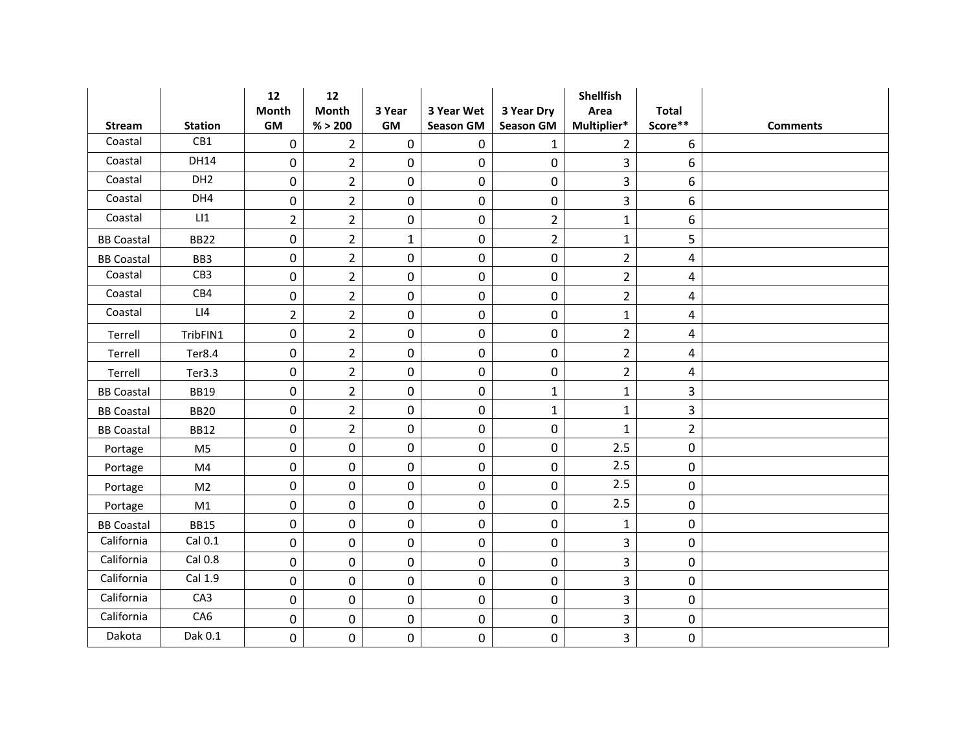|                   |                 | 12               | 12             |              |                  |                  | <b>Shellfish</b> |                |                 |
|-------------------|-----------------|------------------|----------------|--------------|------------------|------------------|------------------|----------------|-----------------|
|                   |                 | Month            | <b>Month</b>   | 3 Year       | 3 Year Wet       | 3 Year Dry       | Area             | <b>Total</b>   |                 |
| <b>Stream</b>     | <b>Station</b>  | GM               | % > 200        | GM           | <b>Season GM</b> | <b>Season GM</b> | Multiplier*      | Score**        | <b>Comments</b> |
| Coastal           | CB1             | 0                | $\overline{2}$ | $\pmb{0}$    | 0                | $\mathbf 1$      | $\overline{2}$   | 6              |                 |
| Coastal           | <b>DH14</b>     | $\boldsymbol{0}$ | $\overline{2}$ | $\pmb{0}$    | $\pmb{0}$        | $\pmb{0}$        | $\overline{3}$   | 6              |                 |
| Coastal           | DH <sub>2</sub> | 0                | $\overline{2}$ | $\pmb{0}$    | $\pmb{0}$        | $\mathbf 0$      | $\overline{3}$   | 6              |                 |
| Coastal           | DH4             | $\boldsymbol{0}$ | $\overline{2}$ | 0            | 0                | $\pmb{0}$        | 3                | 6              |                 |
| Coastal           | LI              | $\overline{2}$   | $\overline{2}$ | $\pmb{0}$    | $\pmb{0}$        | $\overline{2}$   | $\mathbf 1$      | 6              |                 |
| <b>BB Coastal</b> | <b>BB22</b>     | $\boldsymbol{0}$ | $\overline{2}$ | $\mathbf{1}$ | 0                | $\overline{2}$   | $\mathbf 1$      | 5              |                 |
| <b>BB Coastal</b> | BB3             | 0                | $\overline{2}$ | 0            | $\mathbf 0$      | $\mathbf 0$      | $\overline{2}$   | 4              |                 |
| Coastal           | CB3             | $\boldsymbol{0}$ | $\overline{2}$ | 0            | 0                | $\pmb{0}$        | $\overline{2}$   | 4              |                 |
| Coastal           | CB4             | $\pmb{0}$        | $\overline{2}$ | 0            | $\boldsymbol{0}$ | $\pmb{0}$        | $\overline{2}$   | 4              |                 |
| Coastal           | LI4             | $\overline{2}$   | $\overline{2}$ | $\pmb{0}$    | $\boldsymbol{0}$ | $\pmb{0}$        | $\mathbf 1$      | 4              |                 |
| Terrell           | TribFIN1        | 0                | $\overline{2}$ | 0            | $\pmb{0}$        | $\mathbf 0$      | $\overline{2}$   | 4              |                 |
| Terrell           | Ter8.4          | $\boldsymbol{0}$ | $\overline{2}$ | 0            | $\boldsymbol{0}$ | $\pmb{0}$        | $\overline{2}$   | 4              |                 |
| Terrell           | Ter3.3          | $\boldsymbol{0}$ | $\overline{2}$ | $\pmb{0}$    | $\mathbf 0$      | $\pmb{0}$        | $\overline{2}$   | 4              |                 |
| <b>BB Coastal</b> | <b>BB19</b>     | 0                | $\overline{2}$ | 0            | $\mathbf 0$      | $\mathbf{1}$     | $\mathbf 1$      | 3              |                 |
| <b>BB Coastal</b> | <b>BB20</b>     | $\boldsymbol{0}$ | $\overline{2}$ | 0            | $\pmb{0}$        | $\mathbf 1$      | $\mathbf 1$      | 3              |                 |
| <b>BB Coastal</b> | <b>BB12</b>     | 0                | $\overline{2}$ | 0            | $\mathbf 0$      | $\mathbf 0$      | $\mathbf{1}$     | $\overline{2}$ |                 |
| Portage           | M <sub>5</sub>  | $\boldsymbol{0}$ | 0              | $\pmb{0}$    | 0                | $\pmb{0}$        | 2.5              | $\mathbf 0$    |                 |
| Portage           | M4              | 0                | 0              | 0            | 0                | $\mathbf 0$      | 2.5              | 0              |                 |
| Portage           | M <sub>2</sub>  | 0                | 0              | 0            | 0                | $\pmb{0}$        | 2.5              | $\pmb{0}$      |                 |
| Portage           | M1              | 0                | 0              | 0            | 0                | $\mathbf 0$      | 2.5              | $\mathbf 0$    |                 |
| <b>BB Coastal</b> | <b>BB15</b>     | 0                | 0              | 0            | $\boldsymbol{0}$ | $\pmb{0}$        | $\mathbf{1}$     | $\pmb{0}$      |                 |
| California        | Cal 0.1         | $\boldsymbol{0}$ | 0              | 0            | $\pmb{0}$        | $\mathbf 0$      | 3                | $\pmb{0}$      |                 |
| California        | Cal 0.8         | 0                | 0              | 0            | $\mathbf 0$      | $\mathbf 0$      | 3                | $\pmb{0}$      |                 |
| California        | Cal 1.9         | $\boldsymbol{0}$ | 0              | 0            | $\pmb{0}$        | $\mathbf 0$      | 3                | $\mathbf 0$    |                 |
| California        | CA3             | 0                | 0              | 0            | $\mathbf 0$      | $\pmb{0}$        | $\overline{3}$   | $\mathbf 0$    |                 |
| California        | CA6             | $\pmb{0}$        | 0              | 0            | $\pmb{0}$        | $\pmb{0}$        | 3                | $\pmb{0}$      |                 |
| Dakota            | Dak 0.1         | $\mathbf 0$      | 0              | 0            | $\mathbf 0$      | $\mathbf 0$      | 3                | 0              |                 |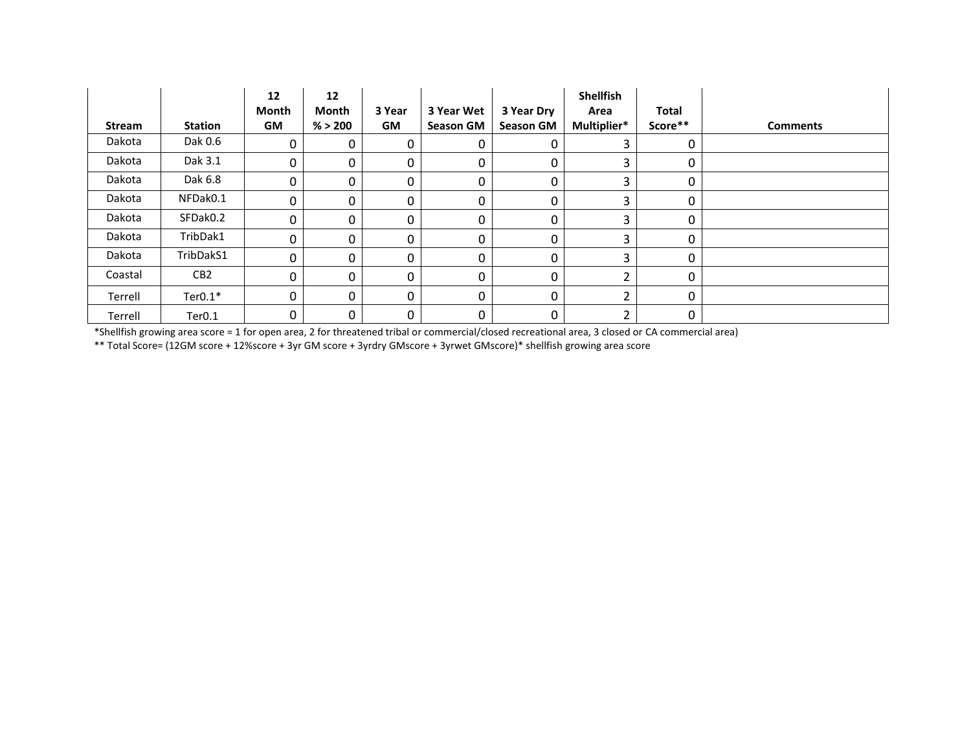|         |                    | 12<br>Month | 12<br><b>Month</b> | 3 Year    | 3 Year Wet       | 3 Year Dry       | <b>Shellfish</b><br>Area | Total       |                 |
|---------|--------------------|-------------|--------------------|-----------|------------------|------------------|--------------------------|-------------|-----------------|
| Stream  | <b>Station</b>     | <b>GM</b>   | % > 200            | <b>GM</b> | <b>Season GM</b> | <b>Season GM</b> | Multiplier*              | Score**     | <b>Comments</b> |
| Dakota  | Dak 0.6            | 0           | $\mathbf 0$        | 0         | 0                | 0                | 3                        | 0           |                 |
| Dakota  | Dak 3.1            | 0           | 0                  | 0         | 0                | 0                | 3                        | 0           |                 |
| Dakota  | Dak 6.8            | 0           | 0                  | 0         | 0                | 0                | 3                        | 0           |                 |
| Dakota  | NFDak0.1           | $\Omega$    | 0                  | 0         | 0                | 0                | 3                        | 0           |                 |
| Dakota  | SFDak0.2           | 0           | 0                  | 0         | 0                | 0                | 3                        | 0           |                 |
| Dakota  | TribDak1           | 0           | 0                  | 0         | 0                | 0                | 3                        | 0           |                 |
| Dakota  | TribDakS1          | $\Omega$    | $\Omega$           | 0         | 0                | 0                | 3                        | $\Omega$    |                 |
| Coastal | CB <sub>2</sub>    | $\Omega$    | $\Omega$           | 0         | 0                | $\mathbf{0}$     | $\overline{2}$           | $\Omega$    |                 |
| Terrell | $Ter0.1*$          | 0           | $\mathbf 0$        | 0         | 0                | 0                | $\overline{2}$           | $\Omega$    |                 |
| Terrell | Ter <sub>0.1</sub> | 0           | $\mathbf 0$        | 0         | 0                | 0                | 2                        | $\mathbf 0$ |                 |

\*Shellfish growing area score = 1 for open area, 2 for threatened tribal or commercial/closed recreational area, 3 closed or CA commercial area)

\*\* Total Score= (12GM score + 12%score + 3yr GM score + 3yrdry GMscore + 3yrwet GMscore)\* shellfish growing area score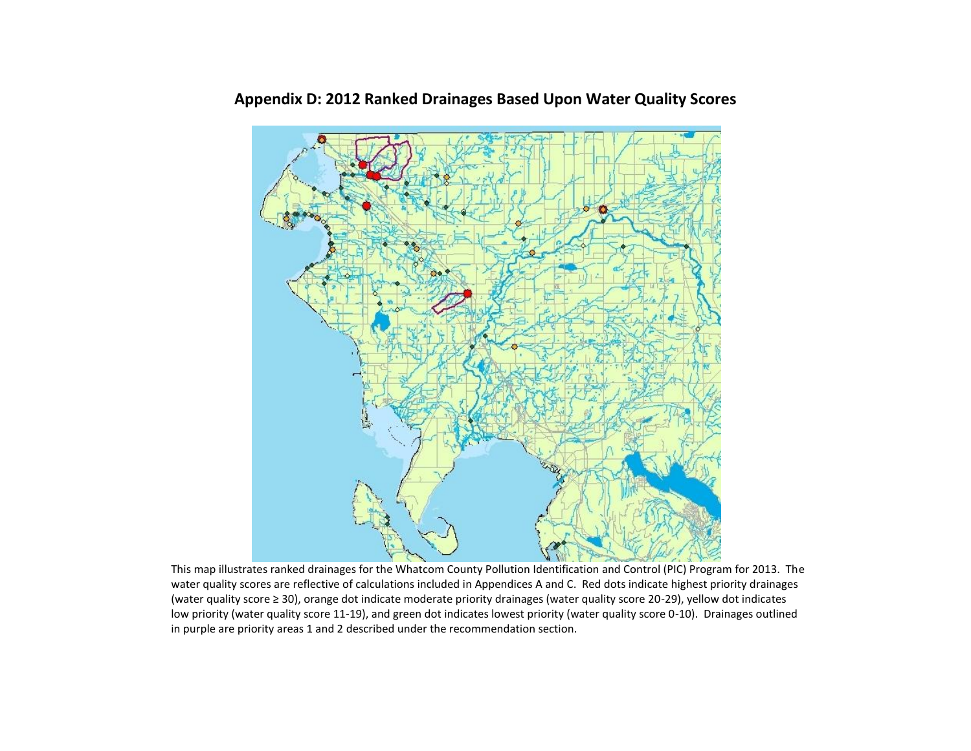

## **Appendix D: 2012 Ranked Drainages Based Upon Water Quality Scores**

This map illustrates ranked drainages for the Whatcom County Pollution Identification and Control (PIC) Program for 2013. The water quality scores are reflective of calculations included in Appendices A and C. Red dots indicate highest priority drainages (water quality score ≥ 30), orange dot indicate moderate priority drainages (water quality score 20-29), yellow dot indicates low priority (water quality score 11-19), and green dot indicates lowest priority (water quality score 0-10). Drainages outlined in purple are priority areas 1 and 2 described under the recommendation section.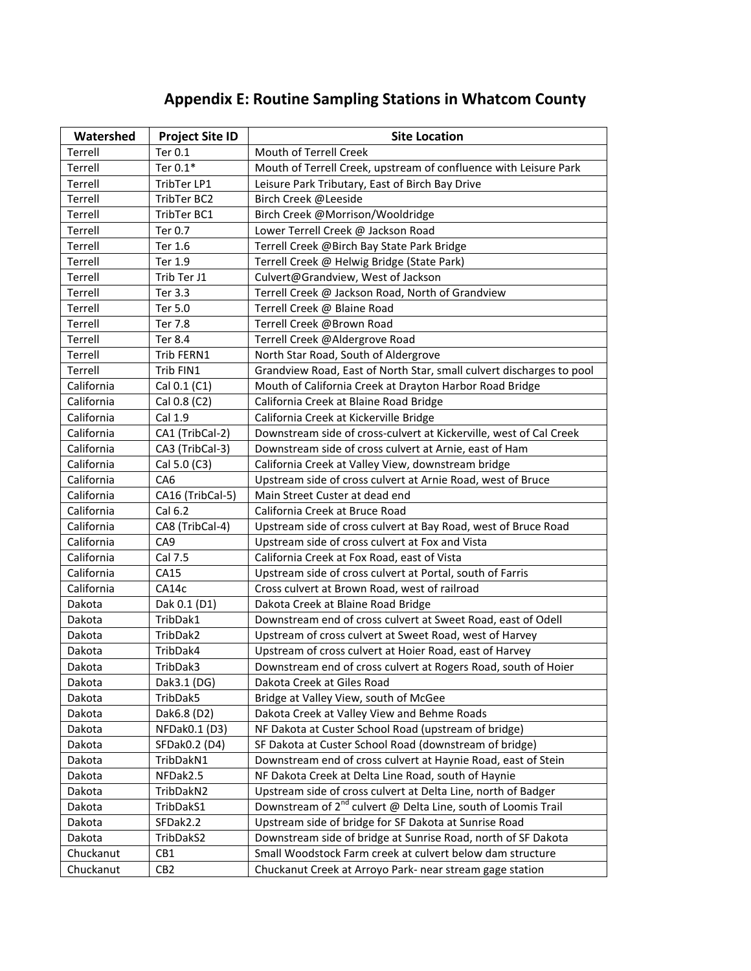## **Appendix E: Routine Sampling Stations in Whatcom County**

| Watershed  | <b>Project Site ID</b> | <b>Site Location</b>                                                      |
|------------|------------------------|---------------------------------------------------------------------------|
| Terrell    | Ter 0.1                | Mouth of Terrell Creek                                                    |
| Terrell    | Ter 0.1*               | Mouth of Terrell Creek, upstream of confluence with Leisure Park          |
| Terrell    | TribTer LP1            | Leisure Park Tributary, East of Birch Bay Drive                           |
| Terrell    | TribTer BC2            | Birch Creek @Leeside                                                      |
| Terrell    | TribTer BC1            | Birch Creek @Morrison/Wooldridge                                          |
| Terrell    | Ter 0.7                | Lower Terrell Creek @ Jackson Road                                        |
| Terrell    | Ter 1.6                | Terrell Creek @Birch Bay State Park Bridge                                |
| Terrell    | Ter 1.9                | Terrell Creek @ Helwig Bridge (State Park)                                |
| Terrell    | Trib Ter J1            | Culvert@Grandview, West of Jackson                                        |
| Terrell    | Ter 3.3                | Terrell Creek @ Jackson Road, North of Grandview                          |
| Terrell    | Ter 5.0                | Terrell Creek @ Blaine Road                                               |
| Terrell    | Ter 7.8                | Terrell Creek @Brown Road                                                 |
| Terrell    | Ter 8.4                | Terrell Creek @Aldergrove Road                                            |
| Terrell    | Trib FERN1             | North Star Road, South of Aldergrove                                      |
| Terrell    | Trib FIN1              | Grandview Road, East of North Star, small culvert discharges to pool      |
| California | Cal 0.1 (C1)           | Mouth of California Creek at Drayton Harbor Road Bridge                   |
| California | Cal 0.8 (C2)           | California Creek at Blaine Road Bridge                                    |
| California | Cal 1.9                | California Creek at Kickerville Bridge                                    |
| California | CA1 (TribCal-2)        | Downstream side of cross-culvert at Kickerville, west of Cal Creek        |
| California | CA3 (TribCal-3)        | Downstream side of cross culvert at Arnie, east of Ham                    |
| California | Cal 5.0 (C3)           | California Creek at Valley View, downstream bridge                        |
| California | CA <sub>6</sub>        | Upstream side of cross culvert at Arnie Road, west of Bruce               |
| California | CA16 (TribCal-5)       | Main Street Custer at dead end                                            |
| California | Cal 6.2                | California Creek at Bruce Road                                            |
| California | CA8 (TribCal-4)        | Upstream side of cross culvert at Bay Road, west of Bruce Road            |
| California | CA <sub>9</sub>        | Upstream side of cross culvert at Fox and Vista                           |
| California | Cal 7.5                | California Creek at Fox Road, east of Vista                               |
| California | CA15                   | Upstream side of cross culvert at Portal, south of Farris                 |
| California | CA14c                  | Cross culvert at Brown Road, west of railroad                             |
| Dakota     | Dak 0.1 (D1)           | Dakota Creek at Blaine Road Bridge                                        |
| Dakota     | TribDak1               | Downstream end of cross culvert at Sweet Road, east of Odell              |
| Dakota     | TribDak2               | Upstream of cross culvert at Sweet Road, west of Harvey                   |
| Dakota     | TribDak4               | Upstream of cross culvert at Hoier Road, east of Harvey                   |
| Dakota     | TribDak3               | Downstream end of cross culvert at Rogers Road, south of Hoier            |
| Dakota     | Dak3.1 (DG)            | Dakota Creek at Giles Road                                                |
| Dakota     | TribDak5               | Bridge at Valley View, south of McGee                                     |
| Dakota     | Dak6.8 (D2)            | Dakota Creek at Valley View and Behme Roads                               |
| Dakota     | NFDak0.1 (D3)          | NF Dakota at Custer School Road (upstream of bridge)                      |
| Dakota     | SFDak0.2 (D4)          | SF Dakota at Custer School Road (downstream of bridge)                    |
| Dakota     | TribDakN1              | Downstream end of cross culvert at Haynie Road, east of Stein             |
| Dakota     | NFDak2.5               | NF Dakota Creek at Delta Line Road, south of Haynie                       |
| Dakota     | TribDakN2              | Upstream side of cross culvert at Delta Line, north of Badger             |
| Dakota     | TribDakS1              | Downstream of 2 <sup>nd</sup> culvert @ Delta Line, south of Loomis Trail |
| Dakota     | SFDak2.2               | Upstream side of bridge for SF Dakota at Sunrise Road                     |
| Dakota     | TribDakS2              | Downstream side of bridge at Sunrise Road, north of SF Dakota             |
| Chuckanut  | CB1                    | Small Woodstock Farm creek at culvert below dam structure                 |
| Chuckanut  | CB <sub>2</sub>        | Chuckanut Creek at Arroyo Park- near stream gage station                  |